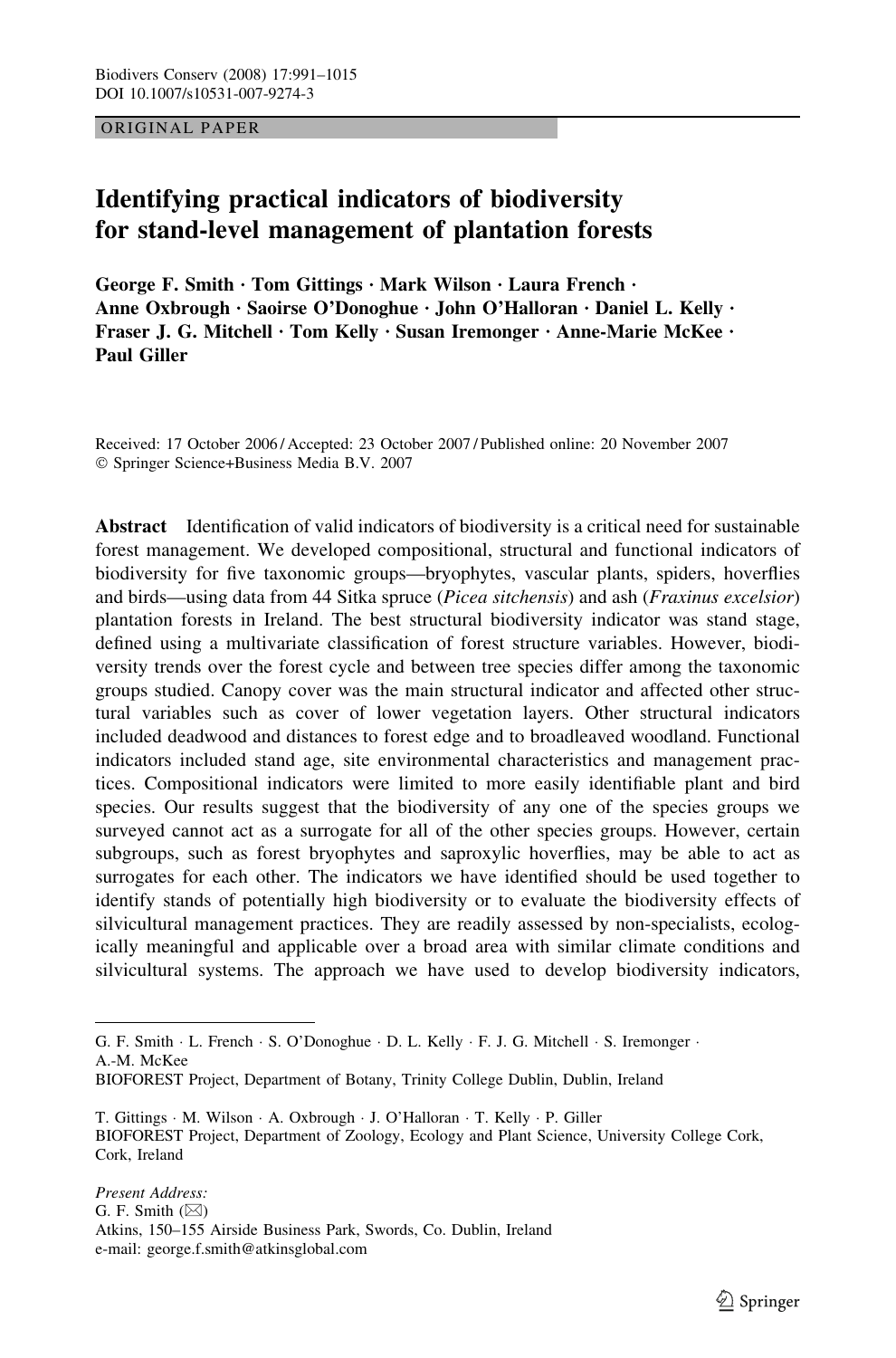ORIGINAL PAPER

# Identifying practical indicators of biodiversity for stand-level management of plantation forests

George F. Smith  $\cdot$  Tom Gittings  $\cdot$  Mark Wilson  $\cdot$  Laura French  $\cdot$ Anne Oxbrough · Saoirse O'Donoghue · John O'Halloran · Daniel L. Kelly · Fraser J. G. Mitchell  $\cdot$  Tom Kelly  $\cdot$  Susan Iremonger  $\cdot$  Anne-Marie McKee  $\cdot$ Paul Giller

Received: 17 October 2006 / Accepted: 23 October 2007 / Published online: 20 November 2007 Springer Science+Business Media B.V. 2007

Abstract Identification of valid indicators of biodiversity is a critical need for sustainable forest management. We developed compositional, structural and functional indicators of biodiversity for five taxonomic groups—bryophytes, vascular plants, spiders, hoverflies and birds—using data from 44 Sitka spruce (Picea sitchensis) and ash (Fraxinus excelsior) plantation forests in Ireland. The best structural biodiversity indicator was stand stage, defined using a multivariate classification of forest structure variables. However, biodiversity trends over the forest cycle and between tree species differ among the taxonomic groups studied. Canopy cover was the main structural indicator and affected other structural variables such as cover of lower vegetation layers. Other structural indicators included deadwood and distances to forest edge and to broadleaved woodland. Functional indicators included stand age, site environmental characteristics and management practices. Compositional indicators were limited to more easily identifiable plant and bird species. Our results suggest that the biodiversity of any one of the species groups we surveyed cannot act as a surrogate for all of the other species groups. However, certain subgroups, such as forest bryophytes and saproxylic hoverflies, may be able to act as surrogates for each other. The indicators we have identified should be used together to identify stands of potentially high biodiversity or to evaluate the biodiversity effects of silvicultural management practices. They are readily assessed by non-specialists, ecologically meaningful and applicable over a broad area with similar climate conditions and silvicultural systems. The approach we have used to develop biodiversity indicators,

G. F. Smith · L. French · S. O'Donoghue · D. L. Kelly · F. J. G. Mitchell · S. Iremonger · A.-M. McKee

BIOFOREST Project, Department of Botany, Trinity College Dublin, Dublin, Ireland

T. Gittings · M. Wilson · A. Oxbrough · J. O'Halloran · T. Kelly · P. Giller BIOFOREST Project, Department of Zoology, Ecology and Plant Science, University College Cork, Cork, Ireland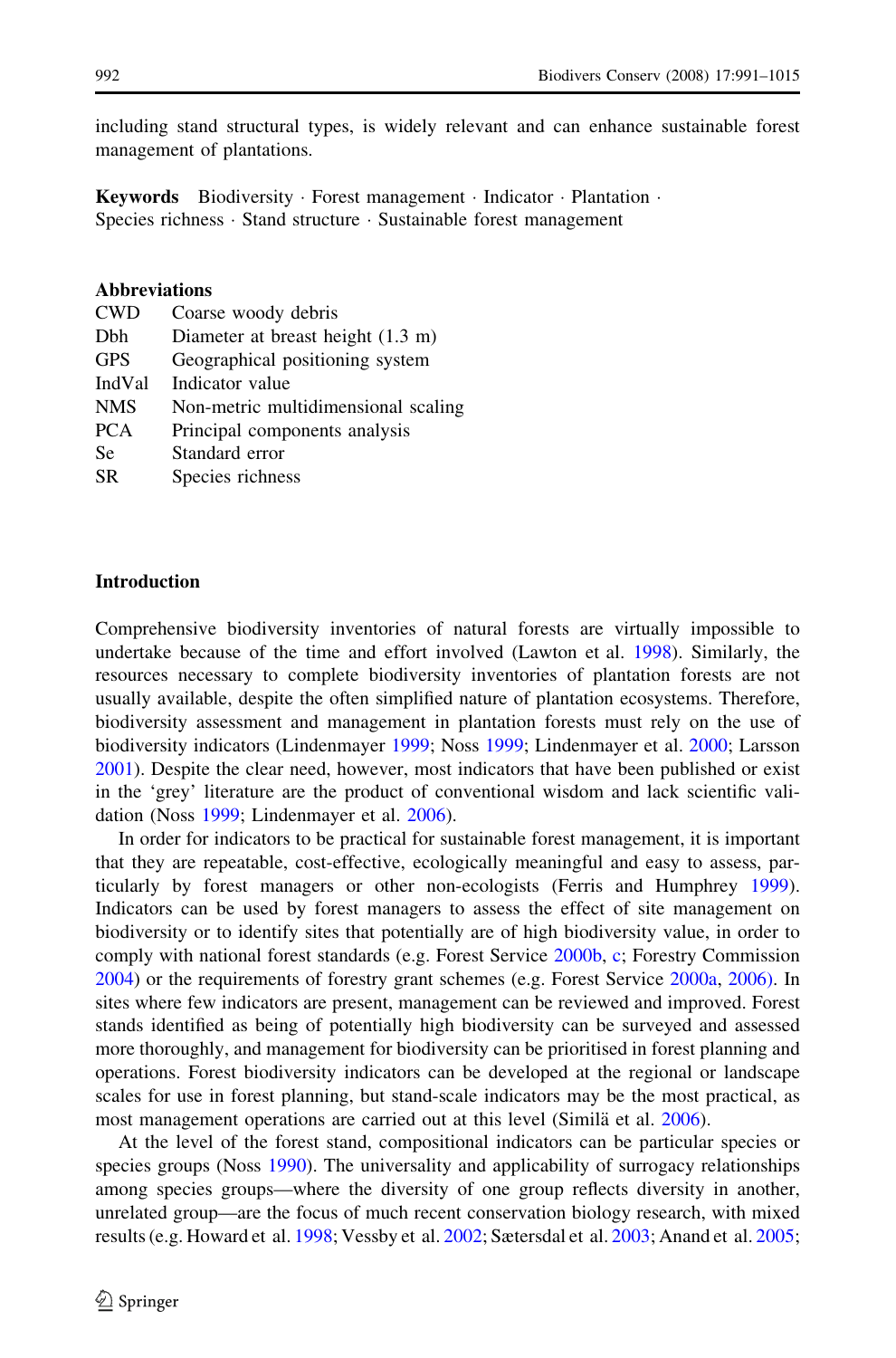including stand structural types, is widely relevant and can enhance sustainable forest management of plantations.

Keywords Biodiversity · Forest management · Indicator · Plantation · Species richness · Stand structure · Sustainable forest management

## Abbreviations

| CWD    | Coarse woody debris                         |
|--------|---------------------------------------------|
| Dbh    | Diameter at breast height $(1.3 \text{ m})$ |
| GPS    | Geographical positioning system             |
| IndVal | Indicator value                             |
| NMS    | Non-metric multidimensional scaling         |
| PCA    | Principal components analysis               |
| Se     | Standard error                              |
| SR     | Species richness                            |
|        |                                             |

# Introduction

Comprehensive biodiversity inventories of natural forests are virtually impossible to undertake because of the time and effort involved (Lawton et al. [1998\)](#page-23-0). Similarly, the resources necessary to complete biodiversity inventories of plantation forests are not usually available, despite the often simplified nature of plantation ecosystems. Therefore, biodiversity assessment and management in plantation forests must rely on the use of biodiversity indicators (Lindenmayer [1999;](#page-23-0) Noss [1999;](#page-23-0) Lindenmayer et al. [2000](#page-23-0); Larsson [2001\)](#page-22-0). Despite the clear need, however, most indicators that have been published or exist in the 'grey' literature are the product of conventional wisdom and lack scientific validation (Noss [1999;](#page-23-0) Lindenmayer et al. [2006\)](#page-23-0).

In order for indicators to be practical for sustainable forest management, it is important that they are repeatable, cost-effective, ecologically meaningful and easy to assess, particularly by forest managers or other non-ecologists (Ferris and Humphrey [1999](#page-22-0)). Indicators can be used by forest managers to assess the effect of site management on biodiversity or to identify sites that potentially are of high biodiversity value, in order to comply with national forest standards (e.g. Forest Service [2000b](#page-22-0), [c;](#page-22-0) Forestry Commission [2004\)](#page-22-0) or the requirements of forestry grant schemes (e.g. Forest Service [2000a,](#page-22-0) [2006\)](#page-22-0). In sites where few indicators are present, management can be reviewed and improved. Forest stands identified as being of potentially high biodiversity can be surveyed and assessed more thoroughly, and management for biodiversity can be prioritised in forest planning and operations. Forest biodiversity indicators can be developed at the regional or landscape scales for use in forest planning, but stand-scale indicators may be the most practical, as most management operations are carried out at this level (Similä et al. [2006\)](#page-23-0).

At the level of the forest stand, compositional indicators can be particular species or species groups (Noss [1990](#page-23-0)). The universality and applicability of surrogacy relationships among species groups—where the diversity of one group reflects diversity in another, unrelated group—are the focus of much recent conservation biology research, with mixed results (e.g. Howard et al. [1998](#page-22-0); Vessby et al. [2002;](#page-24-0) Sætersdal et al. [2003](#page-23-0); Anand et al. [2005;](#page-21-0)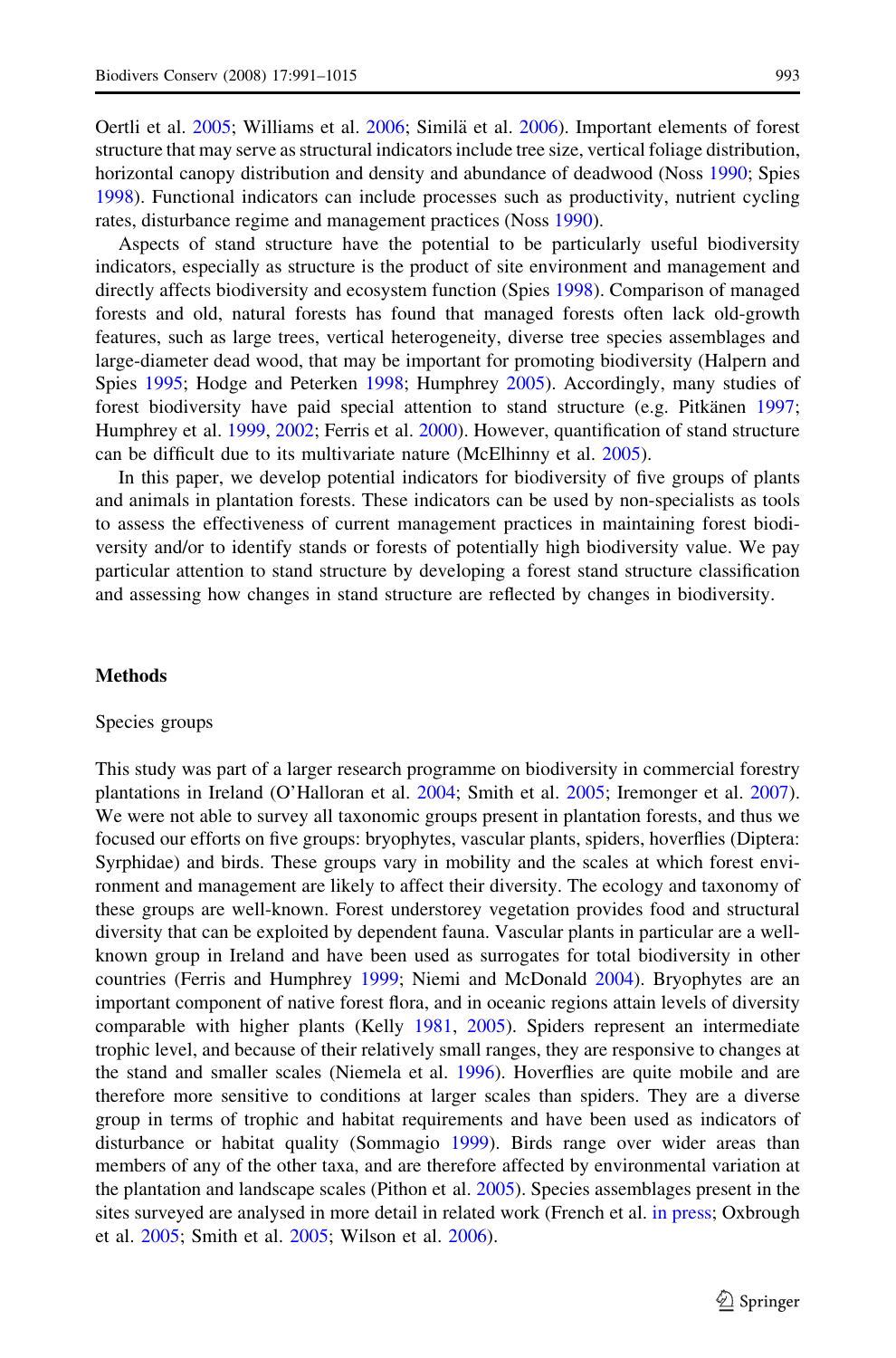Oertli et al. [2005](#page-23-0); Williams et al. [2006;](#page-24-0) Similä et al. [2006\)](#page-23-0). Important elements of forest structure that may serve as structural indicators include tree size, vertical foliage distribution, horizontal canopy distribution and density and abundance of deadwood (Noss [1990;](#page-23-0) Spies [1998\)](#page-24-0). Functional indicators can include processes such as productivity, nutrient cycling rates, disturbance regime and management practices (Noss [1990\)](#page-23-0).

Aspects of stand structure have the potential to be particularly useful biodiversity indicators, especially as structure is the product of site environment and management and directly affects biodiversity and ecosystem function (Spies [1998](#page-24-0)). Comparison of managed forests and old, natural forests has found that managed forests often lack old-growth features, such as large trees, vertical heterogeneity, diverse tree species assemblages and large-diameter dead wood, that may be important for promoting biodiversity (Halpern and Spies [1995;](#page-22-0) Hodge and Peterken [1998](#page-22-0); Humphrey [2005](#page-22-0)). Accordingly, many studies of forest biodiversity have paid special attention to stand structure (e.g. Pitkänen [1997;](#page-23-0) Humphrey et al. [1999](#page-22-0), [2002](#page-22-0); Ferris et al. [2000](#page-22-0)). However, quantification of stand structure can be difficult due to its multivariate nature (McElhinny et al. [2005](#page-23-0)).

In this paper, we develop potential indicators for biodiversity of five groups of plants and animals in plantation forests. These indicators can be used by non-specialists as tools to assess the effectiveness of current management practices in maintaining forest biodiversity and/or to identify stands or forests of potentially high biodiversity value. We pay particular attention to stand structure by developing a forest stand structure classification and assessing how changes in stand structure are reflected by changes in biodiversity.

#### **Methods**

## Species groups

This study was part of a larger research programme on biodiversity in commercial forestry plantations in Ireland (O'Halloran et al. [2004;](#page-23-0) Smith et al. [2005;](#page-23-0) Iremonger et al. [2007](#page-22-0)). We were not able to survey all taxonomic groups present in plantation forests, and thus we focused our efforts on five groups: bryophytes, vascular plants, spiders, hoverflies (Diptera: Syrphidae) and birds. These groups vary in mobility and the scales at which forest environment and management are likely to affect their diversity. The ecology and taxonomy of these groups are well-known. Forest understorey vegetation provides food and structural diversity that can be exploited by dependent fauna. Vascular plants in particular are a wellknown group in Ireland and have been used as surrogates for total biodiversity in other countries (Ferris and Humphrey [1999;](#page-22-0) Niemi and McDonald [2004](#page-23-0)). Bryophytes are an important component of native forest flora, and in oceanic regions attain levels of diversity comparable with higher plants (Kelly [1981](#page-22-0), [2005](#page-22-0)). Spiders represent an intermediate trophic level, and because of their relatively small ranges, they are responsive to changes at the stand and smaller scales (Niemela et al. [1996\)](#page-23-0). Hoverflies are quite mobile and are therefore more sensitive to conditions at larger scales than spiders. They are a diverse group in terms of trophic and habitat requirements and have been used as indicators of disturbance or habitat quality (Sommagio [1999\)](#page-23-0). Birds range over wider areas than members of any of the other taxa, and are therefore affected by environmental variation at the plantation and landscape scales (Pithon et al. [2005\)](#page-23-0). Species assemblages present in the sites surveyed are analysed in more detail in related work (French et al. [in press](#page-22-0); Oxbrough et al. [2005](#page-23-0); Smith et al. [2005](#page-23-0); Wilson et al. [2006\)](#page-24-0).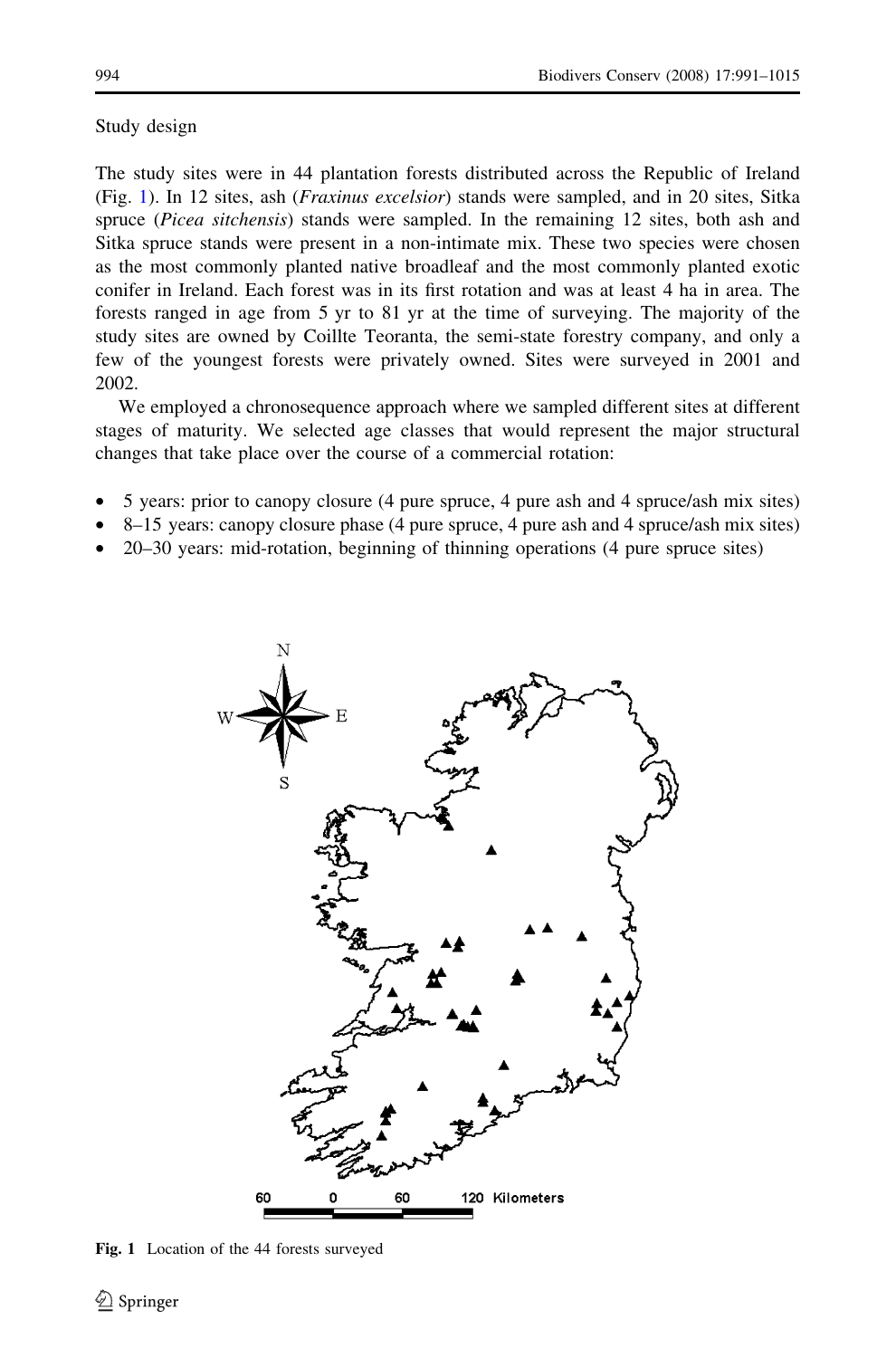## Study design

The study sites were in 44 plantation forests distributed across the Republic of Ireland (Fig. 1). In 12 sites, ash (Fraxinus excelsior) stands were sampled, and in 20 sites, Sitka spruce (Picea sitchensis) stands were sampled. In the remaining 12 sites, both ash and Sitka spruce stands were present in a non-intimate mix. These two species were chosen as the most commonly planted native broadleaf and the most commonly planted exotic conifer in Ireland. Each forest was in its first rotation and was at least 4 ha in area. The forests ranged in age from 5 yr to 81 yr at the time of surveying. The majority of the study sites are owned by Coillte Teoranta, the semi-state forestry company, and only a few of the youngest forests were privately owned. Sites were surveyed in 2001 and 2002.

We employed a chronosequence approach where we sampled different sites at different stages of maturity. We selected age classes that would represent the major structural changes that take place over the course of a commercial rotation:

- 5 years: prior to canopy closure (4 pure spruce, 4 pure ash and 4 spruce/ash mix sites)
- 8–15 years: canopy closure phase (4 pure spruce, 4 pure ash and 4 spruce/ash mix sites)
- 20–30 years: mid-rotation, beginning of thinning operations (4 pure spruce sites)



Fig. 1 Location of the 44 forests surveyed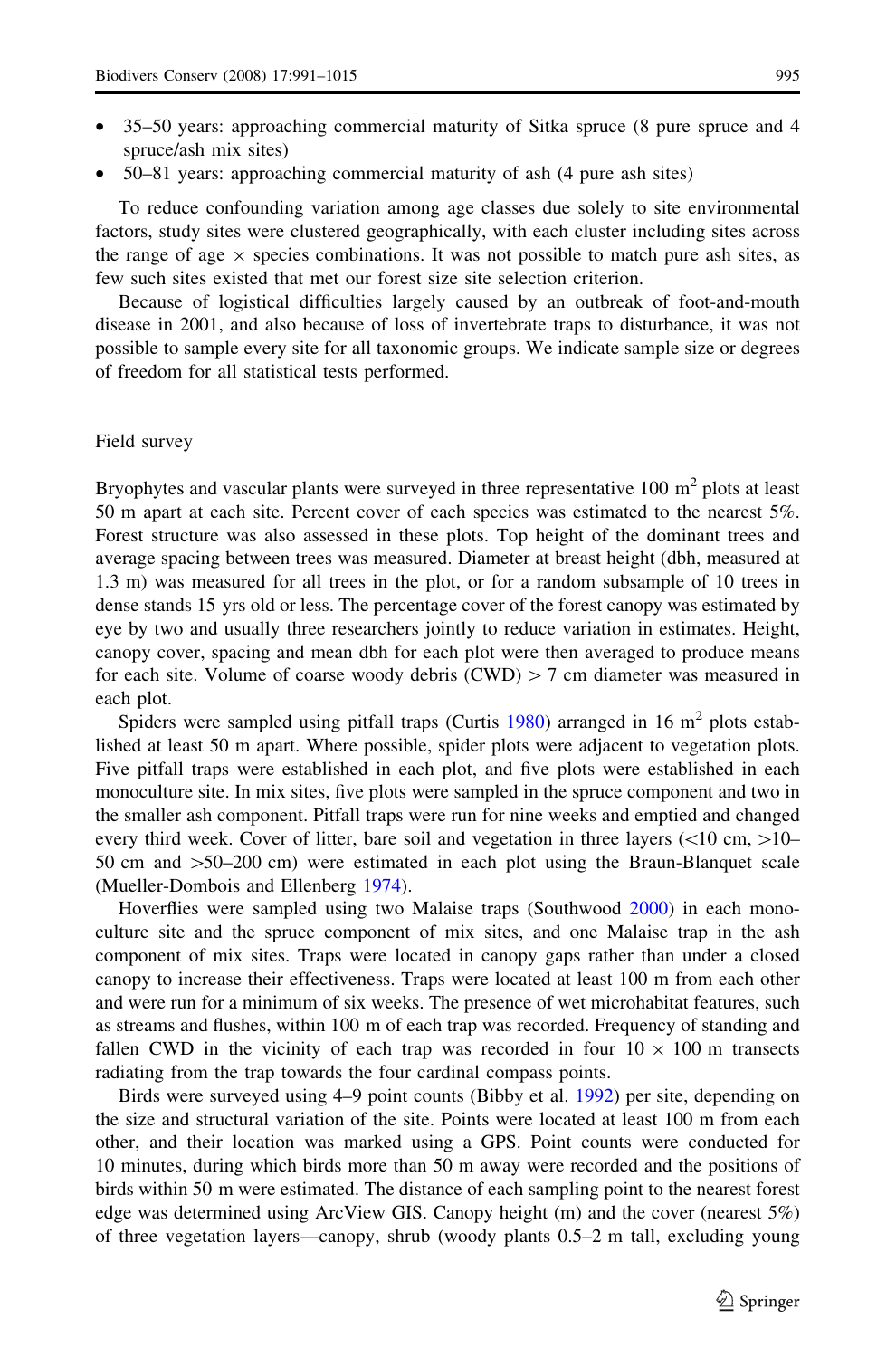- 35–50 years: approaching commercial maturity of Sitka spruce (8 pure spruce and 4 spruce/ash mix sites)
- 50–81 years: approaching commercial maturity of ash (4 pure ash sites)

To reduce confounding variation among age classes due solely to site environmental factors, study sites were clustered geographically, with each cluster including sites across the range of age  $\times$  species combinations. It was not possible to match pure ash sites, as few such sites existed that met our forest size site selection criterion.

Because of logistical difficulties largely caused by an outbreak of foot-and-mouth disease in 2001, and also because of loss of invertebrate traps to disturbance, it was not possible to sample every site for all taxonomic groups. We indicate sample size or degrees of freedom for all statistical tests performed.

#### Field survey

Bryophytes and vascular plants were surveyed in three representative 100 m<sup>2</sup> plots at least 50 m apart at each site. Percent cover of each species was estimated to the nearest 5%. Forest structure was also assessed in these plots. Top height of the dominant trees and average spacing between trees was measured. Diameter at breast height (dbh, measured at 1.3 m) was measured for all trees in the plot, or for a random subsample of 10 trees in dense stands 15 yrs old or less. The percentage cover of the forest canopy was estimated by eye by two and usually three researchers jointly to reduce variation in estimates. Height, canopy cover, spacing and mean dbh for each plot were then averaged to produce means for each site. Volume of coarse woody debris  $(CWD) > 7$  cm diameter was measured in each plot.

Spiders were sampled using pitfall traps (Curtis  $1980$ ) arranged in 16 m<sup>2</sup> plots established at least 50 m apart. Where possible, spider plots were adjacent to vegetation plots. Five pitfall traps were established in each plot, and five plots were established in each monoculture site. In mix sites, five plots were sampled in the spruce component and two in the smaller ash component. Pitfall traps were run for nine weeks and emptied and changed every third week. Cover of litter, bare soil and vegetation in three layers  $(<10 \text{ cm}, >10–$ 50 cm and [50–200 cm) were estimated in each plot using the Braun-Blanquet scale (Mueller-Dombois and Ellenberg [1974\)](#page-23-0).

Hoverflies were sampled using two Malaise traps (Southwood [2000\)](#page-24-0) in each monoculture site and the spruce component of mix sites, and one Malaise trap in the ash component of mix sites. Traps were located in canopy gaps rather than under a closed canopy to increase their effectiveness. Traps were located at least 100 m from each other and were run for a minimum of six weeks. The presence of wet microhabitat features, such as streams and flushes, within 100 m of each trap was recorded. Frequency of standing and fallen CWD in the vicinity of each trap was recorded in four  $10 \times 100$  m transects radiating from the trap towards the four cardinal compass points.

Birds were surveyed using 4–9 point counts (Bibby et al. [1992](#page-21-0)) per site, depending on the size and structural variation of the site. Points were located at least 100 m from each other, and their location was marked using a GPS. Point counts were conducted for 10 minutes, during which birds more than 50 m away were recorded and the positions of birds within 50 m were estimated. The distance of each sampling point to the nearest forest edge was determined using ArcView GIS. Canopy height (m) and the cover (nearest 5%) of three vegetation layers—canopy, shrub (woody plants 0.5–2 m tall, excluding young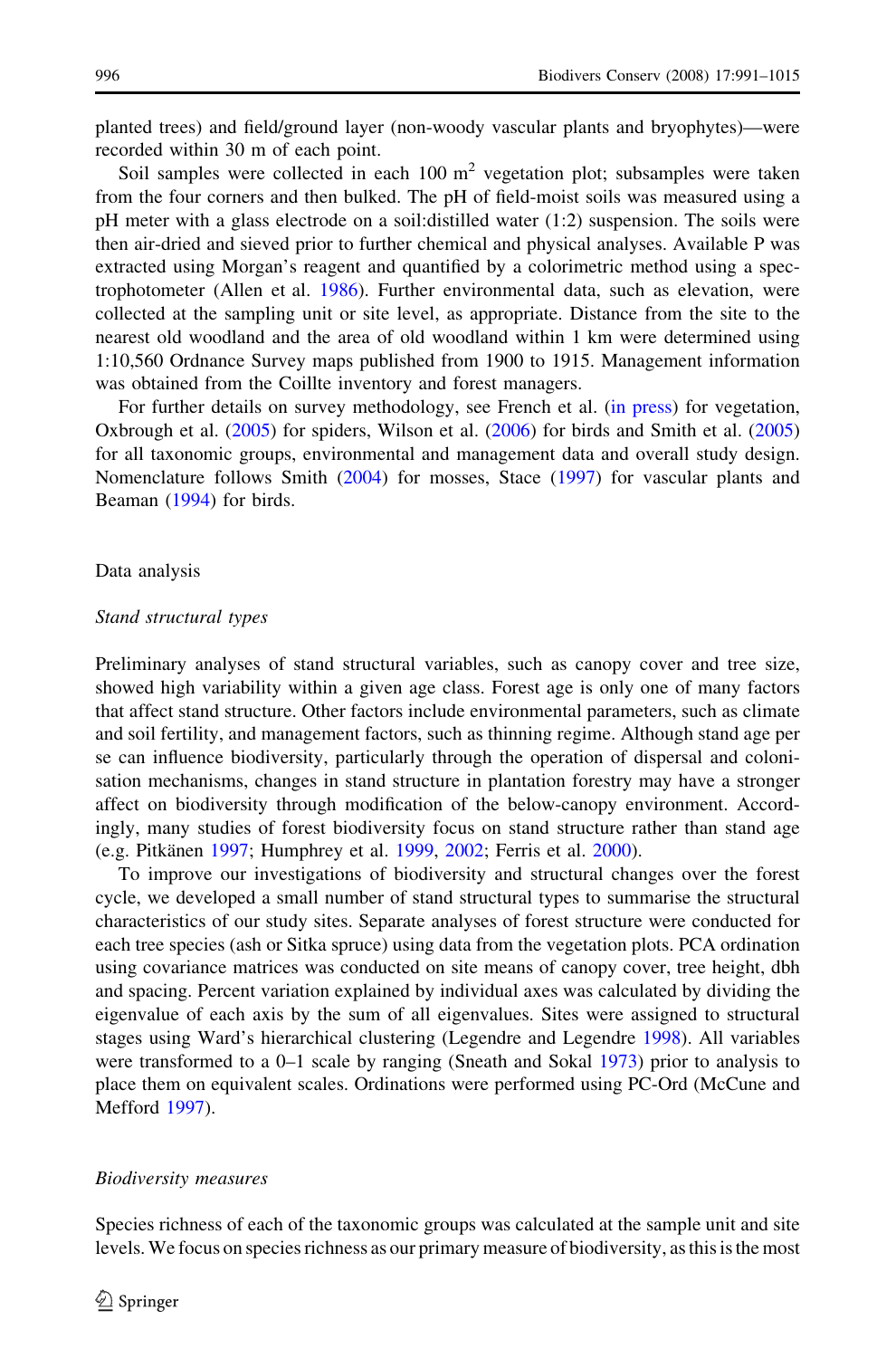planted trees) and field/ground layer (non-woody vascular plants and bryophytes)—were recorded within 30 m of each point.

Soil samples were collected in each  $100 \text{ m}^2$  vegetation plot; subsamples were taken from the four corners and then bulked. The pH of field-moist soils was measured using a pH meter with a glass electrode on a soil:distilled water (1:2) suspension. The soils were then air-dried and sieved prior to further chemical and physical analyses. Available P was extracted using Morgan's reagent and quantified by a colorimetric method using a spectrophotometer (Allen et al. [1986\)](#page-21-0). Further environmental data, such as elevation, were collected at the sampling unit or site level, as appropriate. Distance from the site to the nearest old woodland and the area of old woodland within 1 km were determined using 1:10,560 Ordnance Survey maps published from 1900 to 1915. Management information was obtained from the Coillte inventory and forest managers.

For further details on survey methodology, see French et al. ([in press\)](#page-22-0) for vegetation, Oxbrough et al. ([2005\)](#page-23-0) for spiders, Wilson et al. [\(2006](#page-24-0)) for birds and Smith et al. ([2005](#page-23-0)) for all taxonomic groups, environmental and management data and overall study design. Nomenclature follows Smith [\(2004](#page-23-0)) for mosses, Stace [\(1997](#page-24-0)) for vascular plants and Beaman [\(1994](#page-21-0)) for birds.

#### Data analysis

#### Stand structural types

Preliminary analyses of stand structural variables, such as canopy cover and tree size, showed high variability within a given age class. Forest age is only one of many factors that affect stand structure. Other factors include environmental parameters, such as climate and soil fertility, and management factors, such as thinning regime. Although stand age per se can influence biodiversity, particularly through the operation of dispersal and colonisation mechanisms, changes in stand structure in plantation forestry may have a stronger affect on biodiversity through modification of the below-canopy environment. Accordingly, many studies of forest biodiversity focus on stand structure rather than stand age (e.g. Pitkänen [1997](#page-23-0); Humphrey et al. [1999,](#page-22-0) [2002](#page-22-0); Ferris et al. [2000\)](#page-22-0).

To improve our investigations of biodiversity and structural changes over the forest cycle, we developed a small number of stand structural types to summarise the structural characteristics of our study sites. Separate analyses of forest structure were conducted for each tree species (ash or Sitka spruce) using data from the vegetation plots. PCA ordination using covariance matrices was conducted on site means of canopy cover, tree height, dbh and spacing. Percent variation explained by individual axes was calculated by dividing the eigenvalue of each axis by the sum of all eigenvalues. Sites were assigned to structural stages using Ward's hierarchical clustering (Legendre and Legendre [1998](#page-23-0)). All variables were transformed to a 0–1 scale by ranging (Sneath and Sokal [1973\)](#page-23-0) prior to analysis to place them on equivalent scales. Ordinations were performed using PC-Ord (McCune and Mefford [1997](#page-23-0)).

#### Biodiversity measures

Species richness of each of the taxonomic groups was calculated at the sample unit and site levels. We focus on species richness as our primary measure of biodiversity, as this is the most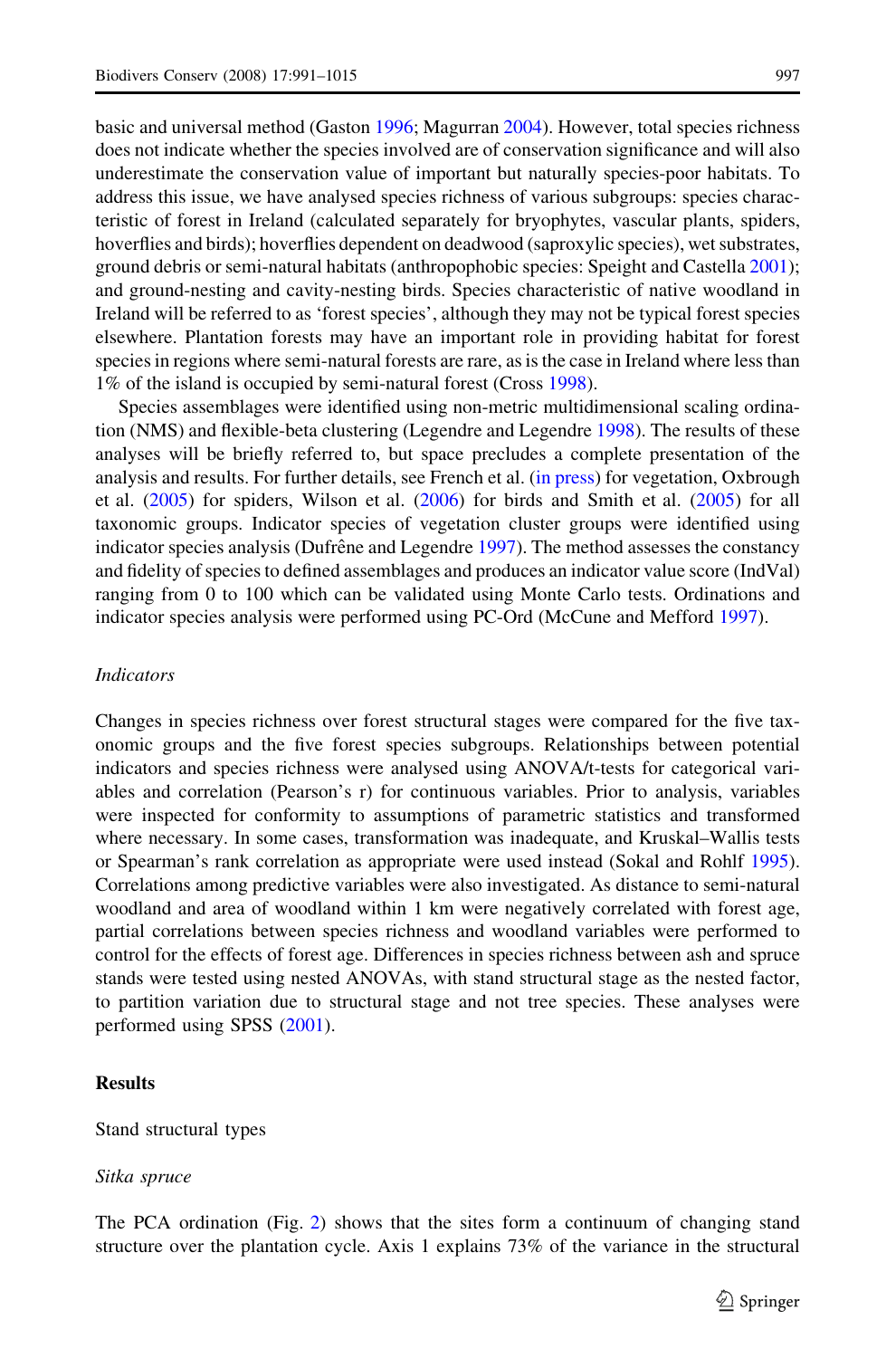basic and universal method (Gaston [1996;](#page-22-0) Magurran [2004](#page-23-0)). However, total species richness does not indicate whether the species involved are of conservation significance and will also underestimate the conservation value of important but naturally species-poor habitats. To address this issue, we have analysed species richness of various subgroups: species characteristic of forest in Ireland (calculated separately for bryophytes, vascular plants, spiders, hoverflies and birds); hoverflies dependent on deadwood (saproxylic species), wet substrates, ground debris or semi-natural habitats (anthropophobic species: Speight and Castella [2001\)](#page-24-0); and ground-nesting and cavity-nesting birds. Species characteristic of native woodland in Ireland will be referred to as 'forest species', although they may not be typical forest species elsewhere. Plantation forests may have an important role in providing habitat for forest species in regions where semi-natural forests are rare, as is the case in Ireland where less than 1% of the island is occupied by semi-natural forest (Cross [1998\)](#page-21-0).

Species assemblages were identified using non-metric multidimensional scaling ordination (NMS) and flexible-beta clustering (Legendre and Legendre [1998\)](#page-23-0). The results of these analyses will be briefly referred to, but space precludes a complete presentation of the analysis and results. For further details, see French et al. ([in press\)](#page-22-0) for vegetation, Oxbrough et al. [\(2005](#page-23-0)) for spiders, Wilson et al. [\(2006](#page-24-0)) for birds and Smith et al. ([2005\)](#page-23-0) for all taxonomic groups. Indicator species of vegetation cluster groups were identified using indicator species analysis (Dufrêne and Legendre [1997](#page-21-0)). The method assesses the constancy and fidelity of species to defined assemblages and produces an indicator value score (IndVal) ranging from 0 to 100 which can be validated using Monte Carlo tests. Ordinations and indicator species analysis were performed using PC-Ord (McCune and Mefford [1997\)](#page-23-0).

# **Indicators**

Changes in species richness over forest structural stages were compared for the five taxonomic groups and the five forest species subgroups. Relationships between potential indicators and species richness were analysed using ANOVA/t-tests for categorical variables and correlation (Pearson's r) for continuous variables. Prior to analysis, variables were inspected for conformity to assumptions of parametric statistics and transformed where necessary. In some cases, transformation was inadequate, and Kruskal–Wallis tests or Spearman's rank correlation as appropriate were used instead (Sokal and Rohlf [1995](#page-23-0)). Correlations among predictive variables were also investigated. As distance to semi-natural woodland and area of woodland within 1 km were negatively correlated with forest age, partial correlations between species richness and woodland variables were performed to control for the effects of forest age. Differences in species richness between ash and spruce stands were tested using nested ANOVAs, with stand structural stage as the nested factor, to partition variation due to structural stage and not tree species. These analyses were performed using SPSS [\(2001](#page-24-0)).

# **Results**

# Stand structural types

# Sitka spruce

The PCA ordination (Fig. [2\)](#page-7-0) shows that the sites form a continuum of changing stand structure over the plantation cycle. Axis 1 explains 73% of the variance in the structural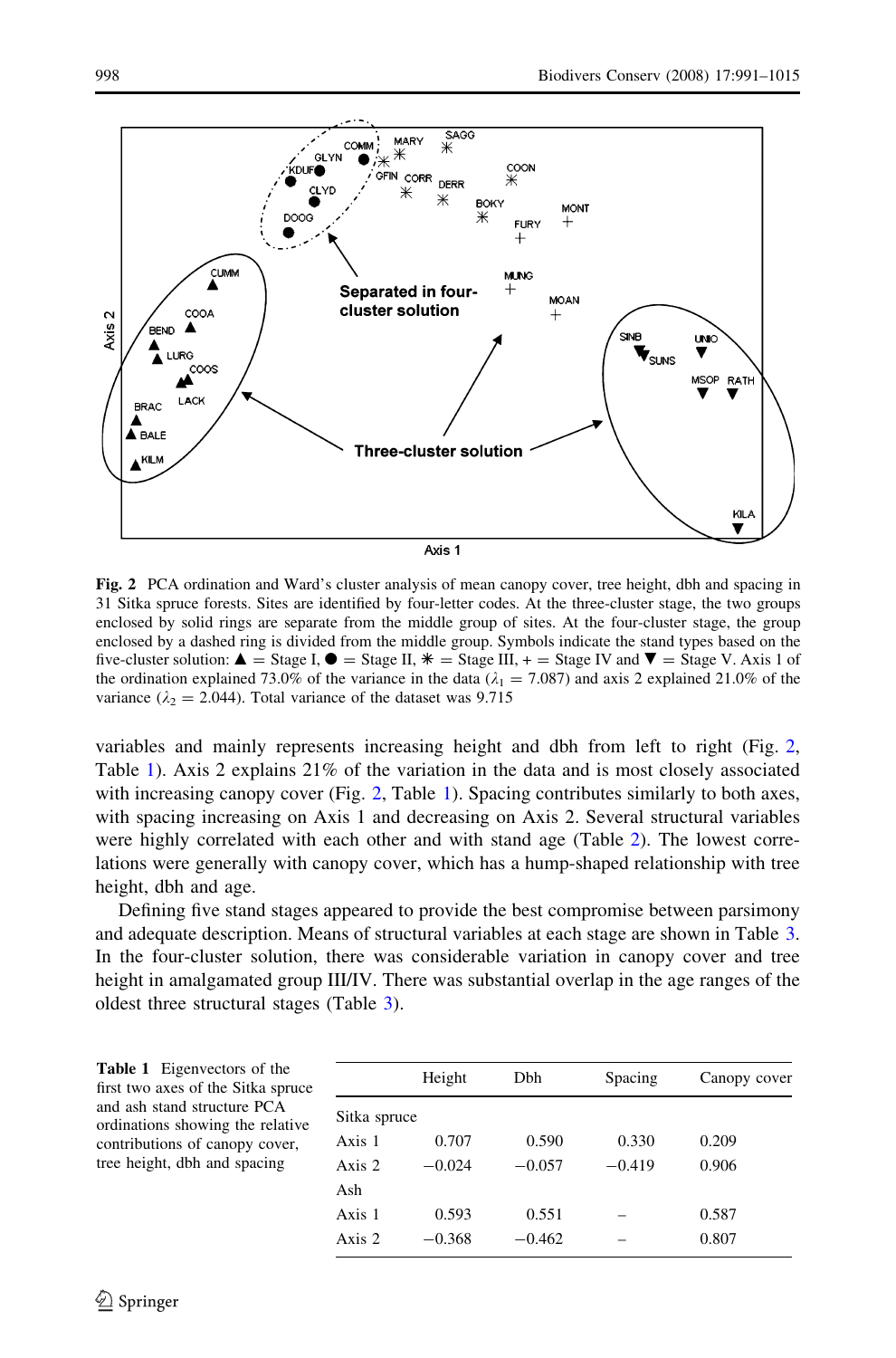<span id="page-7-0"></span>

Fig. 2 PCA ordination and Ward's cluster analysis of mean canopy cover, tree height, dbh and spacing in 31 Sitka spruce forests. Sites are identified by four-letter codes. At the three-cluster stage, the two groups enclosed by solid rings are separate from the middle group of sites. At the four-cluster stage, the group enclosed by a dashed ring is divided from the middle group. Symbols indicate the stand types based on the five-cluster solution:  $\triangle$  = Stage I,  $\triangle$  = Stage II,  $*$  = Stage III,  $+$  = Stage IV and  $\nabla$  = Stage V. Axis 1 of the ordination explained 73.0% of the variance in the data ( $\lambda_1 = 7.087$ ) and axis 2 explained 21.0% of the variance ( $\lambda_2$  = 2.044). Total variance of the dataset was 9.715

variables and mainly represents increasing height and dbh from left to right (Fig. 2, Table 1). Axis 2 explains 21% of the variation in the data and is most closely associated with increasing canopy cover (Fig. 2, Table 1). Spacing contributes similarly to both axes, with spacing increasing on Axis 1 and decreasing on Axis 2. Several structural variables were highly correlated with each other and with stand age (Table [2](#page-8-0)). The lowest correlations were generally with canopy cover, which has a hump-shaped relationship with tree height, dbh and age.

Defining five stand stages appeared to provide the best compromise between parsimony and adequate description. Means of structural variables at each stage are shown in Table [3](#page-8-0). In the four-cluster solution, there was considerable variation in canopy cover and tree height in amalgamated group III/IV. There was substantial overlap in the age ranges of the oldest three structural stages (Table [3\)](#page-8-0).

| <b>Table 1</b> Eigenvectors of the<br>first two axes of the Sitka spruce |              | Height   | Dbh      | Spacing  | Canopy cover |
|--------------------------------------------------------------------------|--------------|----------|----------|----------|--------------|
| and ash stand structure PCA<br>ordinations showing the relative          | Sitka spruce |          |          |          |              |
| contributions of canopy cover,                                           | Axis 1       | 0.707    | 0.590    | 0.330    | 0.209        |
| tree height, dbh and spacing                                             | Axis 2       | $-0.024$ | $-0.057$ | $-0.419$ | 0.906        |
|                                                                          | Ash          |          |          |          |              |
|                                                                          | Axis 1       | 0.593    | 0.551    |          | 0.587        |
|                                                                          | Axis 2       | $-0.368$ | $-0.462$ |          | 0.807        |
|                                                                          |              |          |          |          |              |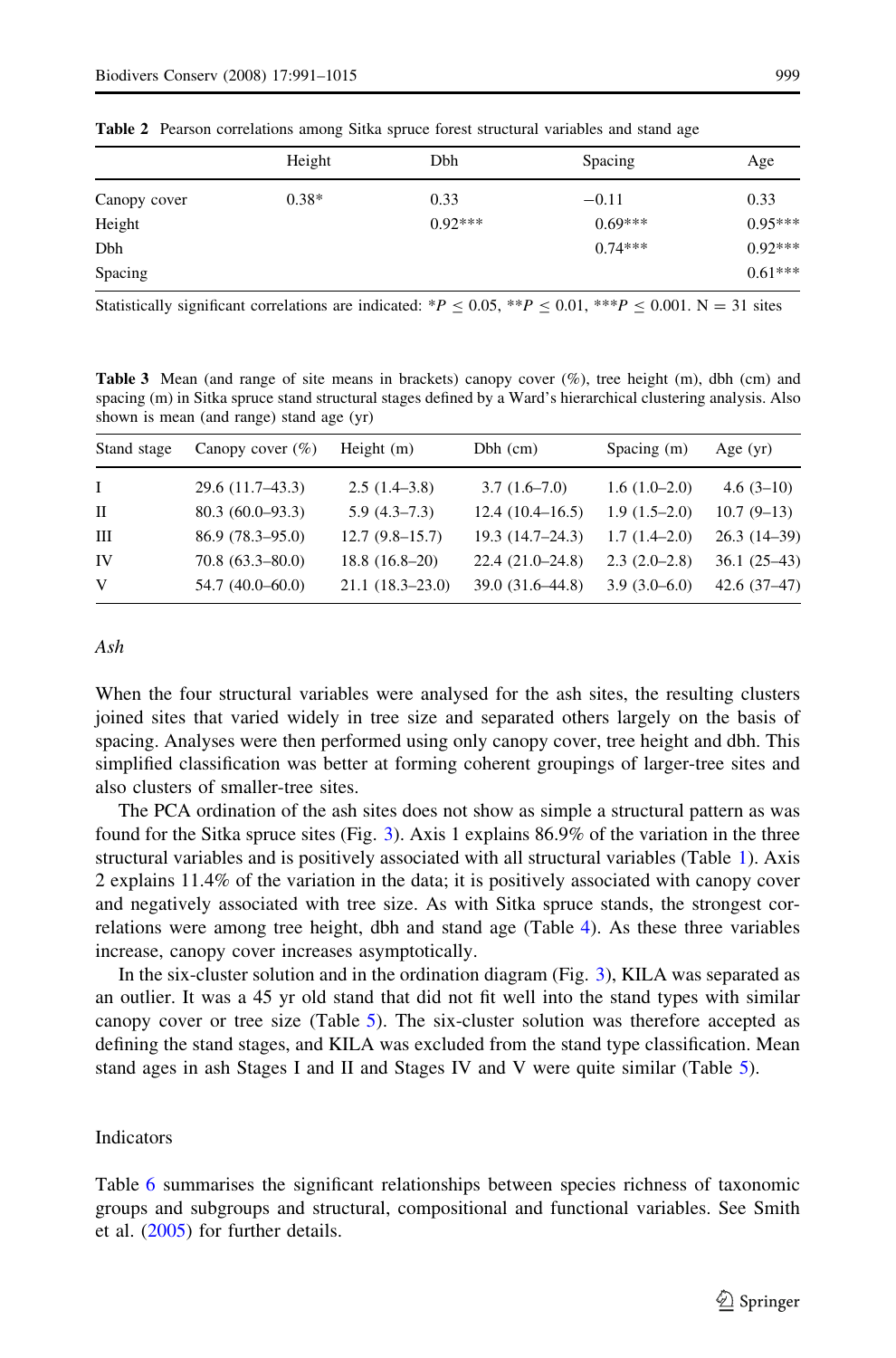|              | Height  | Dbh       | Spacing   | Age       |
|--------------|---------|-----------|-----------|-----------|
| Canopy cover | $0.38*$ | 0.33      | $-0.11$   | 0.33      |
| Height       |         | $0.92***$ | $0.69***$ | $0.95***$ |
| Dbh          |         |           | $0.74***$ | $0.92***$ |
| Spacing      |         |           |           | $0.61***$ |

<span id="page-8-0"></span>Table 2 Pearson correlations among Sitka spruce forest structural variables and stand age

Statistically significant correlations are indicated: \* $P \le 0.05$ , \*\* $P \le 0.01$ , \*\*\* $P \le 0.001$ . N = 31 sites

Table 3 Mean (and range of site means in brackets) canopy cover (%), tree height (m), dbh (cm) and spacing (m) in Sitka spruce stand structural stages defined by a Ward's hierarchical clustering analysis. Also shown is mean (and range) stand age (yr)

| Stand stage | Canopy cover $(\%)$ | Height $(m)$      | $Dbh$ (cm)        | Spacing $(m)$  | Age $(yr)$    |
|-------------|---------------------|-------------------|-------------------|----------------|---------------|
| $\bf{I}$    | 29.6 (11.7–43.3)    | $2.5(1.4-3.8)$    | $3.7(1.6-7.0)$    | $1.6(1.0-2.0)$ | $4.6(3-10)$   |
| П           | $80.3(60.0 - 93.3)$ | $5.9(4.3-7.3)$    | 12.4(10.4–16.5)   | $1.9(1.5-2.0)$ | $10.7(9-13)$  |
| Ш           | $86.9(78.3 - 95.0)$ | $12.7(9.8-15.7)$  | $19.3(14.7-24.3)$ | $1.7(1.4-2.0)$ | $26.3(14-39)$ |
| IV          | $70.8(63.3 - 80.0)$ | $18.8(16.8-20)$   | $22.4(21.0-24.8)$ | $2.3(2.0-2.8)$ | $36.1(25-43)$ |
| V           | $54.7(40.0 - 60.0)$ | $21.1(18.3-23.0)$ | 39.0 (31.6–44.8)  | $3.9(3.0-6.0)$ | $42.6(37-47)$ |

Ash

When the four structural variables were analysed for the ash sites, the resulting clusters joined sites that varied widely in tree size and separated others largely on the basis of spacing. Analyses were then performed using only canopy cover, tree height and dbh. This simplified classification was better at forming coherent groupings of larger-tree sites and also clusters of smaller-tree sites.

The PCA ordination of the ash sites does not show as simple a structural pattern as was found for the Sitka spruce sites (Fig. [3](#page-9-0)). Axis 1 explains 86.9% of the variation in the three structural variables and is positively associated with all structural variables (Table [1\)](#page-7-0). Axis 2 explains 11.4% of the variation in the data; it is positively associated with canopy cover and negatively associated with tree size. As with Sitka spruce stands, the strongest correlations were among tree height, dbh and stand age (Table [4\)](#page-9-0). As these three variables increase, canopy cover increases asymptotically.

In the six-cluster solution and in the ordination diagram (Fig. [3](#page-9-0)), KILA was separated as an outlier. It was a 45 yr old stand that did not fit well into the stand types with similar canopy cover or tree size (Table [5\)](#page-9-0). The six-cluster solution was therefore accepted as defining the stand stages, and KILA was excluded from the stand type classification. Mean stand ages in ash Stages I and II and Stages IV and V were quite similar (Table [5](#page-9-0)).

#### Indicators

Table [6](#page-10-0) summarises the significant relationships between species richness of taxonomic groups and subgroups and structural, compositional and functional variables. See Smith et al. [\(2005](#page-23-0)) for further details.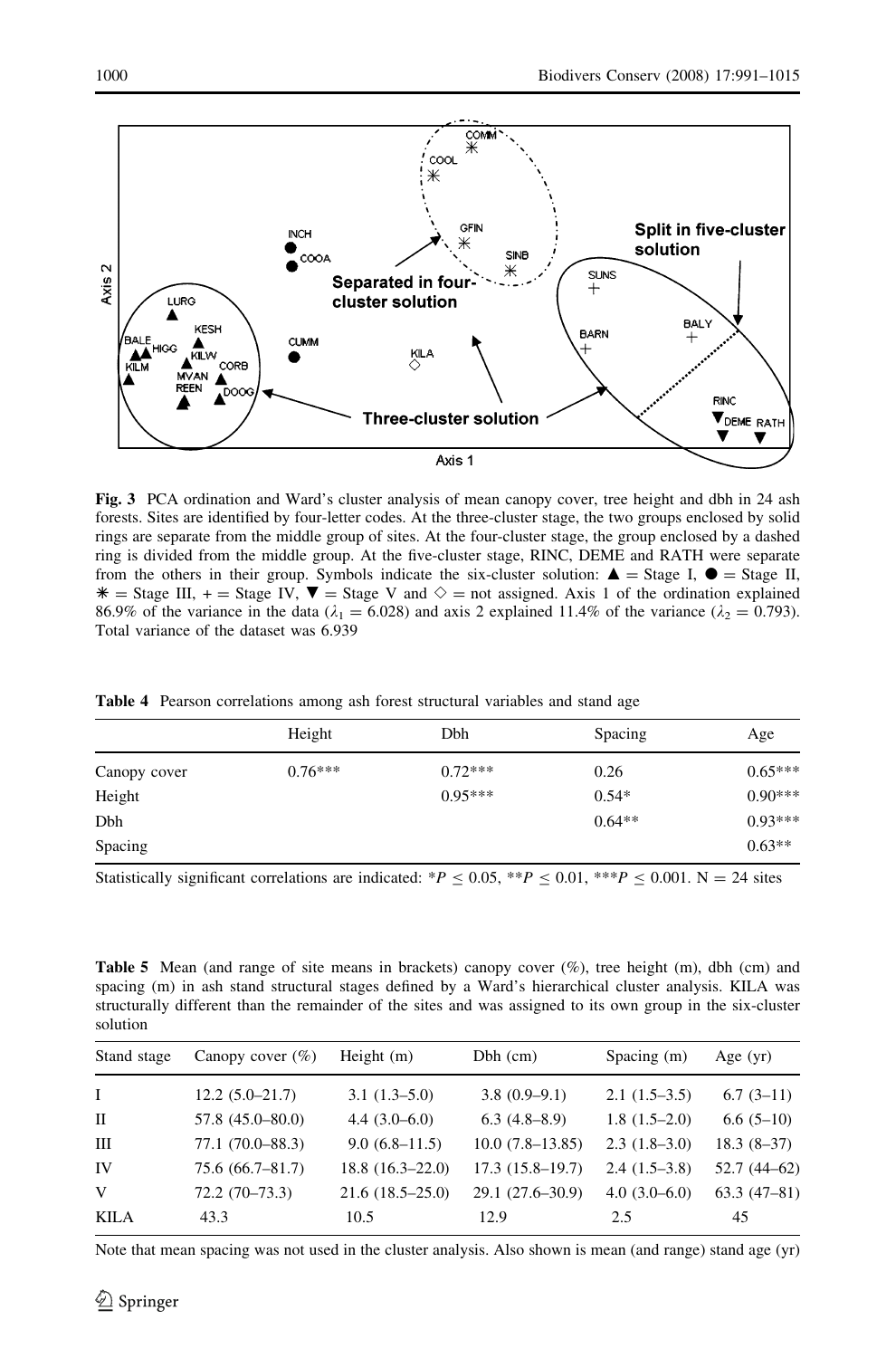<span id="page-9-0"></span>

Fig. 3 PCA ordination and Ward's cluster analysis of mean canopy cover, tree height and dbh in 24 ash forests. Sites are identified by four-letter codes. At the three-cluster stage, the two groups enclosed by solid rings are separate from the middle group of sites. At the four-cluster stage, the group enclosed by a dashed ring is divided from the middle group. At the five-cluster stage, RINC, DEME and RATH were separate from the others in their group. Symbols indicate the six-cluster solution:  $\triangle$  = Stage I,  $\triangle$  = Stage II,  $*$  = Stage III, + = Stage IV,  $\blacktriangledown$  = Stage V and  $\diamond$  = not assigned. Axis 1 of the ordination explained 86.9% of the variance in the data ( $\lambda_1 = 6.028$ ) and axis 2 explained 11.4% of the variance ( $\lambda_2 = 0.793$ ). Total variance of the dataset was 6.939

|              | Height    | Dbh       | Spacing  | Age       |
|--------------|-----------|-----------|----------|-----------|
| Canopy cover | $0.76***$ | $0.72***$ | 0.26     | $0.65***$ |
| Height       |           | $0.95***$ | $0.54*$  | $0.90***$ |
| Dbh          |           |           | $0.64**$ | $0.93***$ |

Table 4 Pearson correlations among ash forest structural variables and stand age

Spacing  $0.63**$ Statistically significant correlations are indicated: \* $P \le 0.05$ , \*\* $P \le 0.01$ , \*\*\* $P \le 0.001$ . N = 24 sites

**Table 5** Mean (and range of site means in brackets) canopy cover  $(\%)$ , tree height  $(m)$ , dbh (cm) and spacing (m) in ash stand structural stages defined by a Ward's hierarchical cluster analysis. KILA was structurally different than the remainder of the sites and was assigned to its own group in the six-cluster solution

| Stand stage | Canopy cover $(\%)$ | Height $(m)$      | $Dbh$ (cm)        | Spacing $(m)$  | Age $(yr)$    |
|-------------|---------------------|-------------------|-------------------|----------------|---------------|
| Ι           | $12.2(5.0-21.7)$    | $3.1(1.3-5.0)$    | $3.8(0.9-9.1)$    | $2.1(1.5-3.5)$ | $6.7(3-11)$   |
| П           | $57.8(45.0 - 80.0)$ | $4.4(3.0-6.0)$    | 6.3(4.8–8.9)      | $1.8(1.5-2.0)$ | $6.6(5-10)$   |
| Ш           | $77.1(70.0 - 88.3)$ | $9.0(6.8-11.5)$   | $10.0(7.8-13.85)$ | $2.3(1.8-3.0)$ | $18.3(8-37)$  |
| IV          | 75.6(66.7–81.7)     | $18.8(16.3-22.0)$ | $17.3(15.8-19.7)$ | $2.4(1.5-3.8)$ | $52.7(44-62)$ |
| V           | $72.2(70-73.3)$     | $21.6(18.5-25.0)$ | $29.1(27.6-30.9)$ | $4.0(3.0-6.0)$ | $63.3(47-81)$ |
| KILA        | 43.3                | 10.5              | 12.9              | 2.5            | 45            |

Note that mean spacing was not used in the cluster analysis. Also shown is mean (and range) stand age (yr)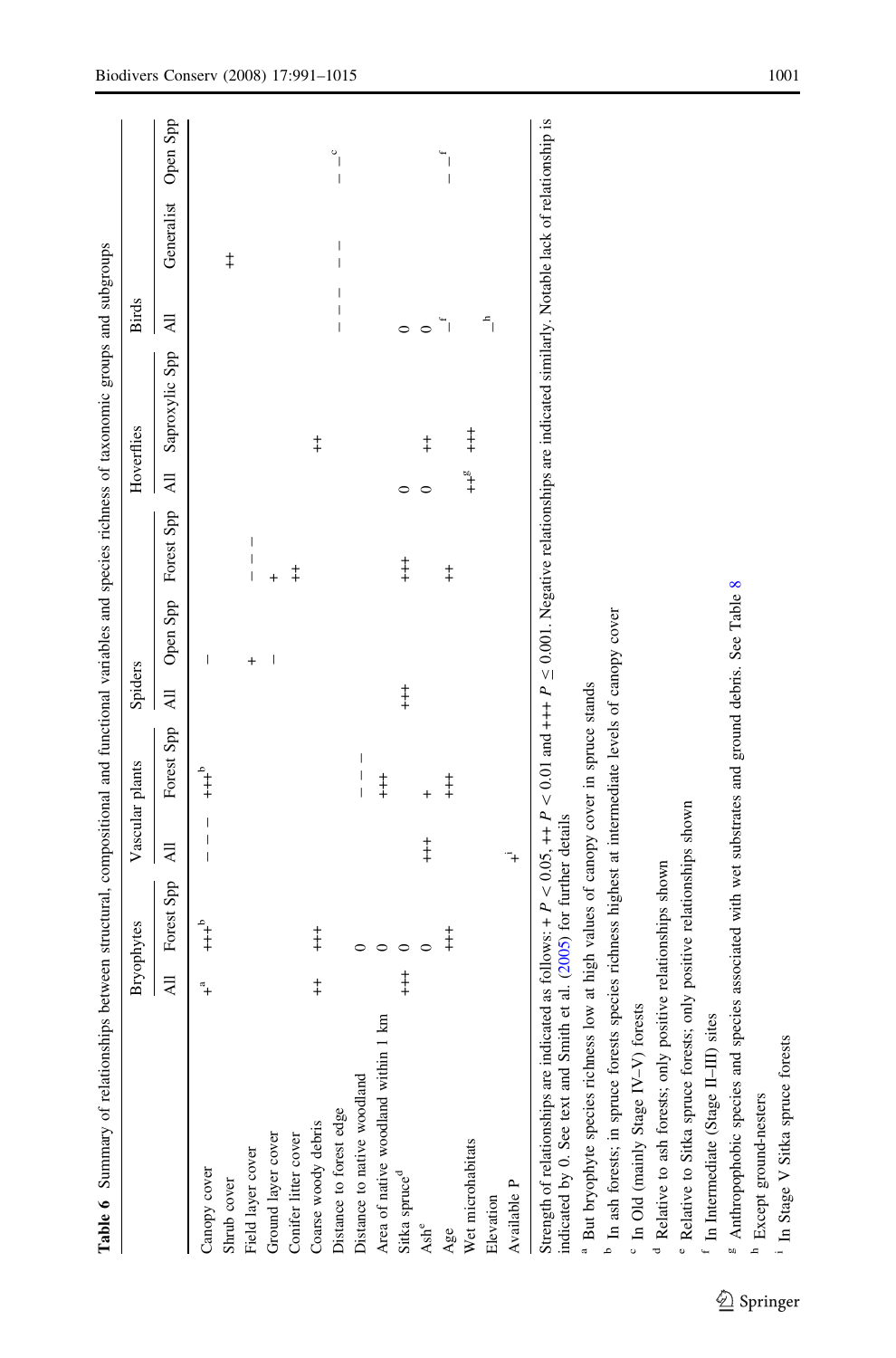<span id="page-10-0"></span>

| Table 6 Summary of relationships                                                                                                                                                                                                                                 |                        |                                                                   |                 |                         |                |          |                                                                |                       | between structural, compositional and functional variables and species richness of taxonomic groups and subgroups |                  |            |                                           |
|------------------------------------------------------------------------------------------------------------------------------------------------------------------------------------------------------------------------------------------------------------------|------------------------|-------------------------------------------------------------------|-----------------|-------------------------|----------------|----------|----------------------------------------------------------------|-----------------------|-------------------------------------------------------------------------------------------------------------------|------------------|------------|-------------------------------------------|
|                                                                                                                                                                                                                                                                  |                        | <b>Bryophytes</b>                                                 | Vascular plants |                         | Spiders        |          |                                                                |                       | Hoverflies                                                                                                        | <b>Birds</b>     |            |                                           |
|                                                                                                                                                                                                                                                                  | 딍                      | Forest Spp                                                        | 딍               | Forest Spp              | $\overline{a}$ | Open Spp | Forest Spp                                                     | $\overline{A}$        | Saproxylic Spp                                                                                                    | ㅋ                | Generalist | Open Spp                                  |
| Canopy cover                                                                                                                                                                                                                                                     | $\ddot{\phantom{0}}^4$ | $\begin{array}{c} 4 \rightarrow 0 \\ + \rightarrow 0 \end{array}$ | I<br>I<br>I     | $\stackrel{a}{\dagger}$ |                | I        |                                                                |                       |                                                                                                                   |                  |            |                                           |
| Shrub cover                                                                                                                                                                                                                                                      |                        |                                                                   |                 |                         |                |          |                                                                |                       |                                                                                                                   |                  | $\ddagger$ |                                           |
| Field layer cover                                                                                                                                                                                                                                                |                        |                                                                   |                 |                         |                | $\,{}^+$ | $\overline{\phantom{a}}$<br>$\mid$<br>$\overline{\phantom{a}}$ |                       |                                                                                                                   |                  |            |                                           |
| Ground layer cover                                                                                                                                                                                                                                               |                        |                                                                   |                 |                         |                | J        | $\ddot{}$                                                      |                       |                                                                                                                   |                  |            |                                           |
| Conifer litter cover                                                                                                                                                                                                                                             |                        |                                                                   |                 |                         |                |          | $\ddagger$                                                     |                       |                                                                                                                   |                  |            |                                           |
| Coarse woody debris                                                                                                                                                                                                                                              | $\ddagger$             | $\ddagger$                                                        |                 |                         |                |          |                                                                |                       | $\ddagger$                                                                                                        |                  |            |                                           |
| Distance to forest edge                                                                                                                                                                                                                                          |                        |                                                                   |                 |                         |                |          |                                                                |                       |                                                                                                                   | I                |            | $\circ$<br>$\begin{array}{c} \end{array}$ |
| Distance to native woodland                                                                                                                                                                                                                                      |                        |                                                                   |                 | I<br>I<br>Ï             |                |          |                                                                |                       |                                                                                                                   |                  |            |                                           |
| Area of native woodland within 1 km                                                                                                                                                                                                                              |                        | $\circ$                                                           |                 | $\ddagger$              |                |          |                                                                |                       |                                                                                                                   |                  |            |                                           |
| Sitka spruce <sup>d</sup>                                                                                                                                                                                                                                        | $\ddagger$             |                                                                   |                 |                         | $\ddagger$     |          | $\ddagger$                                                     | 0                     |                                                                                                                   | $\circ$          |            |                                           |
| $\mathsf{Ash}^\mathsf{e}$                                                                                                                                                                                                                                        |                        |                                                                   | $\ddagger$      |                         |                |          |                                                                | $\circ$               | $\ddagger$                                                                                                        | $\circ$          |            |                                           |
| Age                                                                                                                                                                                                                                                              |                        | $\ddagger$                                                        |                 | $\ddagger$              |                |          | $\ddagger$                                                     |                       |                                                                                                                   | $\mathbf{r}$     |            | ٦                                         |
| Wet microhabitats                                                                                                                                                                                                                                                |                        |                                                                   |                 |                         |                |          |                                                                | $\stackrel{\circ}{+}$ | $\ddagger$                                                                                                        |                  |            |                                           |
| Elevation                                                                                                                                                                                                                                                        |                        |                                                                   |                 |                         |                |          |                                                                |                       |                                                                                                                   | $\tilde{\gamma}$ |            |                                           |
| Available P                                                                                                                                                                                                                                                      |                        |                                                                   | ٦.              |                         |                |          |                                                                |                       |                                                                                                                   |                  |            |                                           |
| Strength of relationships are indicated as follows: + $P < 0.05$ , ++ $P < 0.01$ and +++ $P \le 0.001$ . Negative relationships are indicated similarly. Notable lack of relationship is<br>indicated by 0. See text and Smith et al. (2005) for further details |                        |                                                                   |                 |                         |                |          |                                                                |                       |                                                                                                                   |                  |            |                                           |
| <sup>a</sup> But bryophyte species richness low at high values of canopy cover in spruce stands                                                                                                                                                                  |                        |                                                                   |                 |                         |                |          |                                                                |                       |                                                                                                                   |                  |            |                                           |
| In ash forests; in spruce forests species richness highest at intermediate levels of canopy cover                                                                                                                                                                |                        |                                                                   |                 |                         |                |          |                                                                |                       |                                                                                                                   |                  |            |                                           |
| <sup>c</sup> In Old (mainly Stage IV-V) forests                                                                                                                                                                                                                  |                        |                                                                   |                 |                         |                |          |                                                                |                       |                                                                                                                   |                  |            |                                           |
| <sup>d</sup> Relative to ash forests; only positive relationships shown                                                                                                                                                                                          |                        |                                                                   |                 |                         |                |          |                                                                |                       |                                                                                                                   |                  |            |                                           |
| <sup>e</sup> Relative to Sitka spruce forests; only positive relationships shown                                                                                                                                                                                 |                        |                                                                   |                 |                         |                |          |                                                                |                       |                                                                                                                   |                  |            |                                           |
| <sup>f</sup> In Intermediate (Stage II-III) sites                                                                                                                                                                                                                |                        |                                                                   |                 |                         |                |          |                                                                |                       |                                                                                                                   |                  |            |                                           |
| <sup>8</sup> Anthropophobic species and species associated with wet substrates and ground debris. See Table 8                                                                                                                                                    |                        |                                                                   |                 |                         |                |          |                                                                |                       |                                                                                                                   |                  |            |                                           |

۔ ہ

<sup>n</sup> Except ground-nesters <sup>1</sup> In Stage V Sitka spruce forests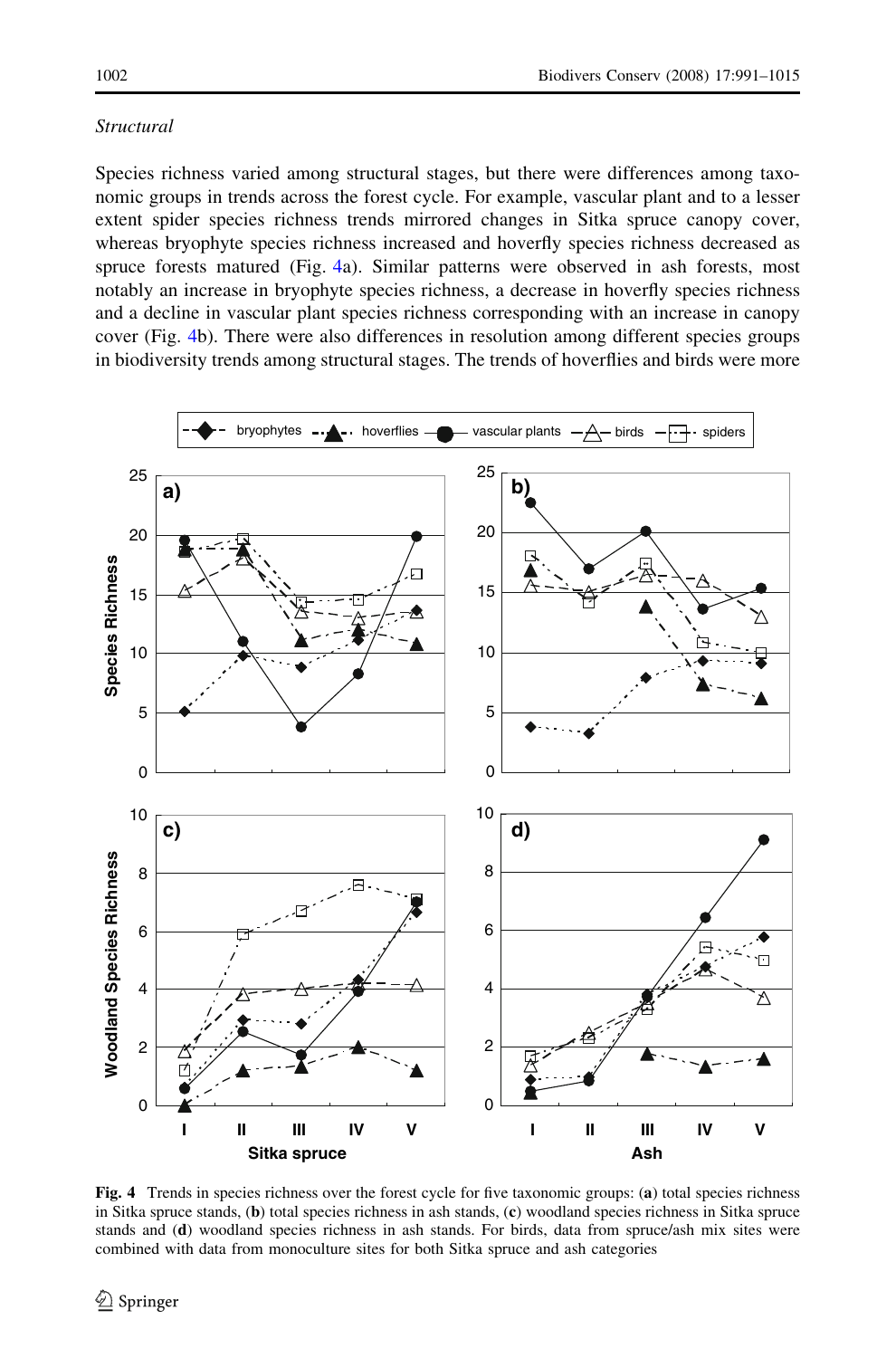#### <span id="page-11-0"></span>Structural

Species richness varied among structural stages, but there were differences among taxonomic groups in trends across the forest cycle. For example, vascular plant and to a lesser extent spider species richness trends mirrored changes in Sitka spruce canopy cover, whereas bryophyte species richness increased and hoverfly species richness decreased as spruce forests matured (Fig. 4a). Similar patterns were observed in ash forests, most notably an increase in bryophyte species richness, a decrease in hoverfly species richness and a decline in vascular plant species richness corresponding with an increase in canopy cover (Fig. 4b). There were also differences in resolution among different species groups in biodiversity trends among structural stages. The trends of hoverflies and birds were more



Fig. 4 Trends in species richness over the forest cycle for five taxonomic groups: (a) total species richness in Sitka spruce stands, (b) total species richness in ash stands, (c) woodland species richness in Sitka spruce stands and (d) woodland species richness in ash stands. For birds, data from spruce/ash mix sites were combined with data from monoculture sites for both Sitka spruce and ash categories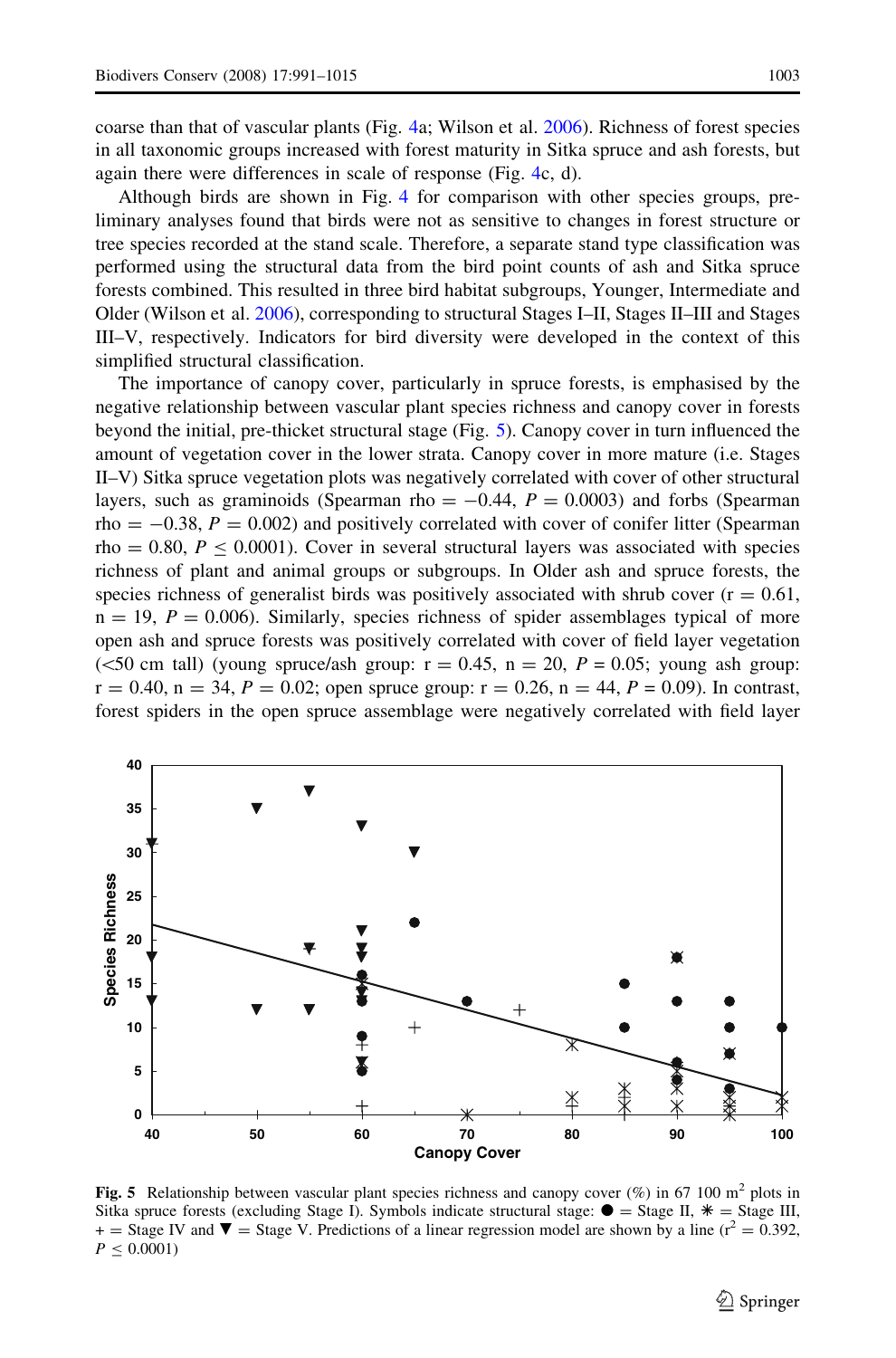coarse than that of vascular plants (Fig. [4](#page-11-0)a; Wilson et al. [2006\)](#page-24-0). Richness of forest species in all taxonomic groups increased with forest maturity in Sitka spruce and ash forests, but again there were differences in scale of response (Fig. [4c](#page-11-0), d).

Although birds are shown in Fig. [4](#page-11-0) for comparison with other species groups, preliminary analyses found that birds were not as sensitive to changes in forest structure or tree species recorded at the stand scale. Therefore, a separate stand type classification was performed using the structural data from the bird point counts of ash and Sitka spruce forests combined. This resulted in three bird habitat subgroups, Younger, Intermediate and Older (Wilson et al. [2006](#page-24-0)), corresponding to structural Stages I–II, Stages II–III and Stages III–V, respectively. Indicators for bird diversity were developed in the context of this simplified structural classification.

The importance of canopy cover, particularly in spruce forests, is emphasised by the negative relationship between vascular plant species richness and canopy cover in forests beyond the initial, pre-thicket structural stage (Fig. 5). Canopy cover in turn influenced the amount of vegetation cover in the lower strata. Canopy cover in more mature (i.e. Stages II–V) Sitka spruce vegetation plots was negatively correlated with cover of other structural layers, such as graminoids (Spearman rho  $= -0.44$ ,  $P = 0.0003$ ) and forbs (Spearman  $rho = -0.38$ ,  $P = 0.002$ ) and positively correlated with cover of conifer litter (Spearman rho = 0.80,  $P \le 0.0001$ ). Cover in several structural layers was associated with species richness of plant and animal groups or subgroups. In Older ash and spruce forests, the species richness of generalist birds was positively associated with shrub cover  $(r = 0.61,$  $n = 19$ ,  $P = 0.006$ ). Similarly, species richness of spider assemblages typical of more open ash and spruce forests was positively correlated with cover of field layer vegetation ( $\leq$ 50 cm tall) (young spruce/ash group: r = 0.45, n = 20, P = 0.05; young ash group:  $r = 0.40$ ,  $n = 34$ ,  $P = 0.02$ ; open spruce group:  $r = 0.26$ ,  $n = 44$ ,  $P = 0.09$ ). In contrast, forest spiders in the open spruce assemblage were negatively correlated with field layer



Fig. 5 Relationship between vascular plant species richness and canopy cover  $\%$  in 67 100 m<sup>2</sup> plots in Sitka spruce forests (excluding Stage I). Symbols indicate structural stage:  $\bullet$  = Stage II,  $*$  = Stage III,  $+=$  Stage IV and  $\blacktriangledown$  = Stage V. Predictions of a linear regression model are shown by a line (r<sup>2</sup> = 0.392,  $P \leq 0.0001$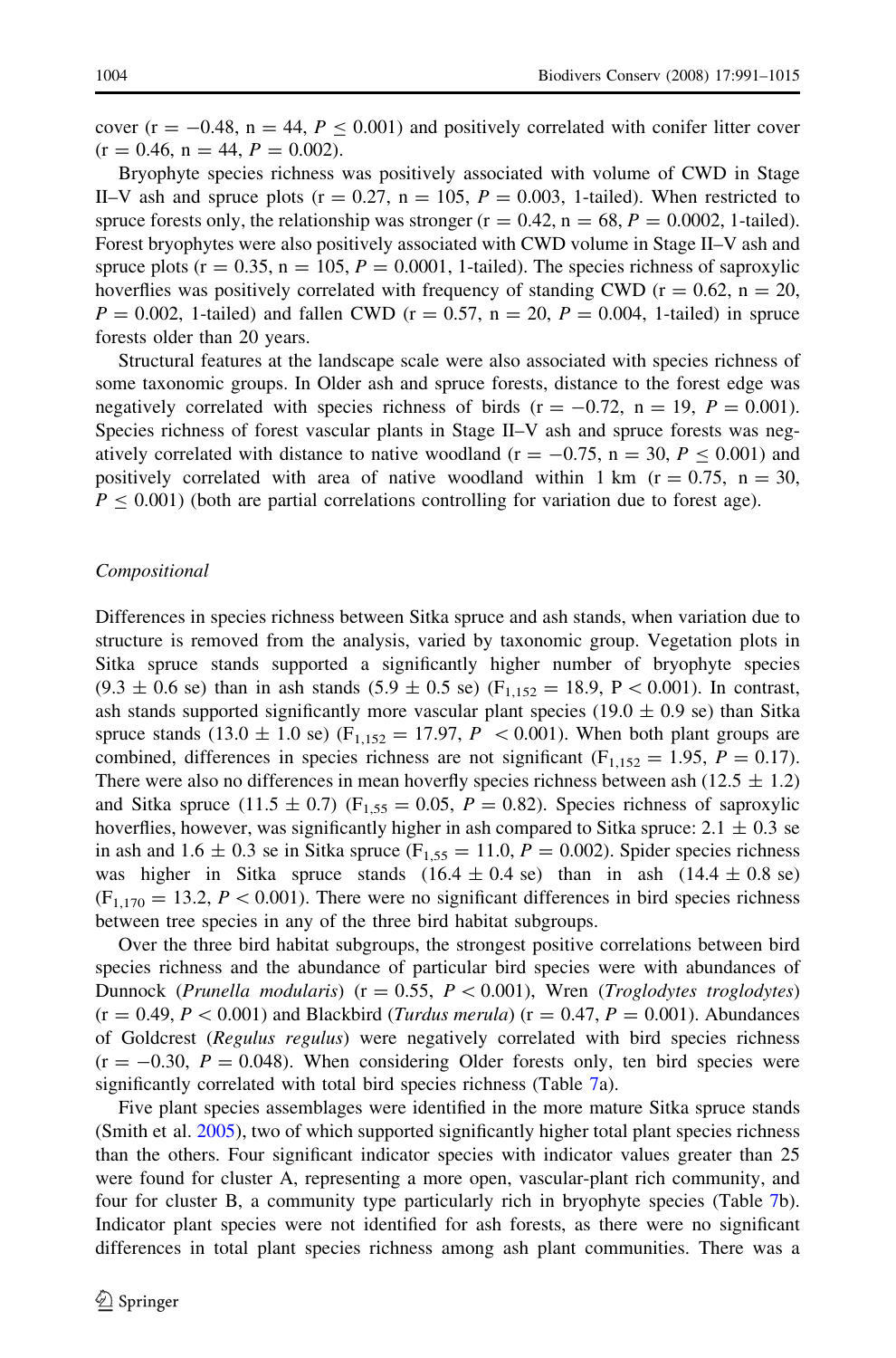cover (r =  $-0.48$ , n = 44, P  $\leq$  0.001) and positively correlated with conifer litter cover  $(r = 0.46, n = 44, P = 0.002)$ .

Bryophyte species richness was positively associated with volume of CWD in Stage II–V ash and spruce plots ( $r = 0.27$ ,  $n = 105$ ,  $P = 0.003$ , 1-tailed). When restricted to spruce forests only, the relationship was stronger ( $r = 0.42$ ,  $n = 68$ ,  $P = 0.0002$ , 1-tailed). Forest bryophytes were also positively associated with CWD volume in Stage II–V ash and spruce plots ( $r = 0.35$ ,  $n = 105$ ,  $P = 0.0001$ , 1-tailed). The species richness of saproxylic hoverflies was positively correlated with frequency of standing CWD ( $r = 0.62$ ,  $n = 20$ ,  $P = 0.002$ , 1-tailed) and fallen CWD (r = 0.57, n = 20,  $P = 0.004$ , 1-tailed) in spruce forests older than 20 years.

Structural features at the landscape scale were also associated with species richness of some taxonomic groups. In Older ash and spruce forests, distance to the forest edge was negatively correlated with species richness of birds ( $r = -0.72$ ,  $n = 19$ ,  $P = 0.001$ ). Species richness of forest vascular plants in Stage II–V ash and spruce forests was negatively correlated with distance to native woodland (r =  $-0.75$ , n = 30, P  $\leq$  0.001) and positively correlated with area of native woodland within 1 km ( $r = 0.75$ ,  $n = 30$ ,  $P \le 0.001$ ) (both are partial correlations controlling for variation due to forest age).

# Compositional

Differences in species richness between Sitka spruce and ash stands, when variation due to structure is removed from the analysis, varied by taxonomic group. Vegetation plots in Sitka spruce stands supported a significantly higher number of bryophyte species  $(9.3 \pm 0.6 \text{ se})$  than in ash stands  $(5.9 \pm 0.5 \text{ se})$   $(F_{1,152} = 18.9, P < 0.001)$ . In contrast, ash stands supported significantly more vascular plant species (19.0  $\pm$  0.9 se) than Sitka spruce stands (13.0  $\pm$  1.0 se) (F<sub>1,152</sub> = 17.97, P < 0.001). When both plant groups are combined, differences in species richness are not significant ( $F_{1,152} = 1.95$ ,  $P = 0.17$ ). There were also no differences in mean hoverfly species richness between ash  $(12.5 \pm 1.2)$ and Sitka spruce (11.5  $\pm$  0.7) (F<sub>1,55</sub> = 0.05, P = 0.82). Species richness of saproxylic hoverflies, however, was significantly higher in ash compared to Sitka spruce:  $2.1 \pm 0.3$  se in ash and  $1.6 \pm 0.3$  se in Sitka spruce (F<sub>1.55</sub> = 11.0, P = 0.002). Spider species richness was higher in Sitka spruce stands  $(16.4 \pm 0.4 \text{ se})$  than in ash  $(14.4 \pm 0.8 \text{ se})$  $(F<sub>1.170</sub> = 13.2, P < 0.001)$ . There were no significant differences in bird species richness between tree species in any of the three bird habitat subgroups.

Over the three bird habitat subgroups, the strongest positive correlations between bird species richness and the abundance of particular bird species were with abundances of Dunnock (Prunella modularis) ( $r = 0.55$ ,  $P < 0.001$ ), Wren (Troglodytes troglodytes)  $(r = 0.49, P < 0.001)$  and Blackbird (Turdus merula)  $(r = 0.47, P = 0.001)$ . Abundances of Goldcrest (Regulus regulus) were negatively correlated with bird species richness  $(r = -0.30, P = 0.048)$ . When considering Older forests only, ten bird species were significantly correlated with total bird species richness (Table [7](#page-14-0)a).

Five plant species assemblages were identified in the more mature Sitka spruce stands (Smith et al. [2005\)](#page-23-0), two of which supported significantly higher total plant species richness than the others. Four significant indicator species with indicator values greater than 25 were found for cluster A, representing a more open, vascular-plant rich community, and four for cluster B, a community type particularly rich in bryophyte species (Table [7](#page-14-0)b). Indicator plant species were not identified for ash forests, as there were no significant differences in total plant species richness among ash plant communities. There was a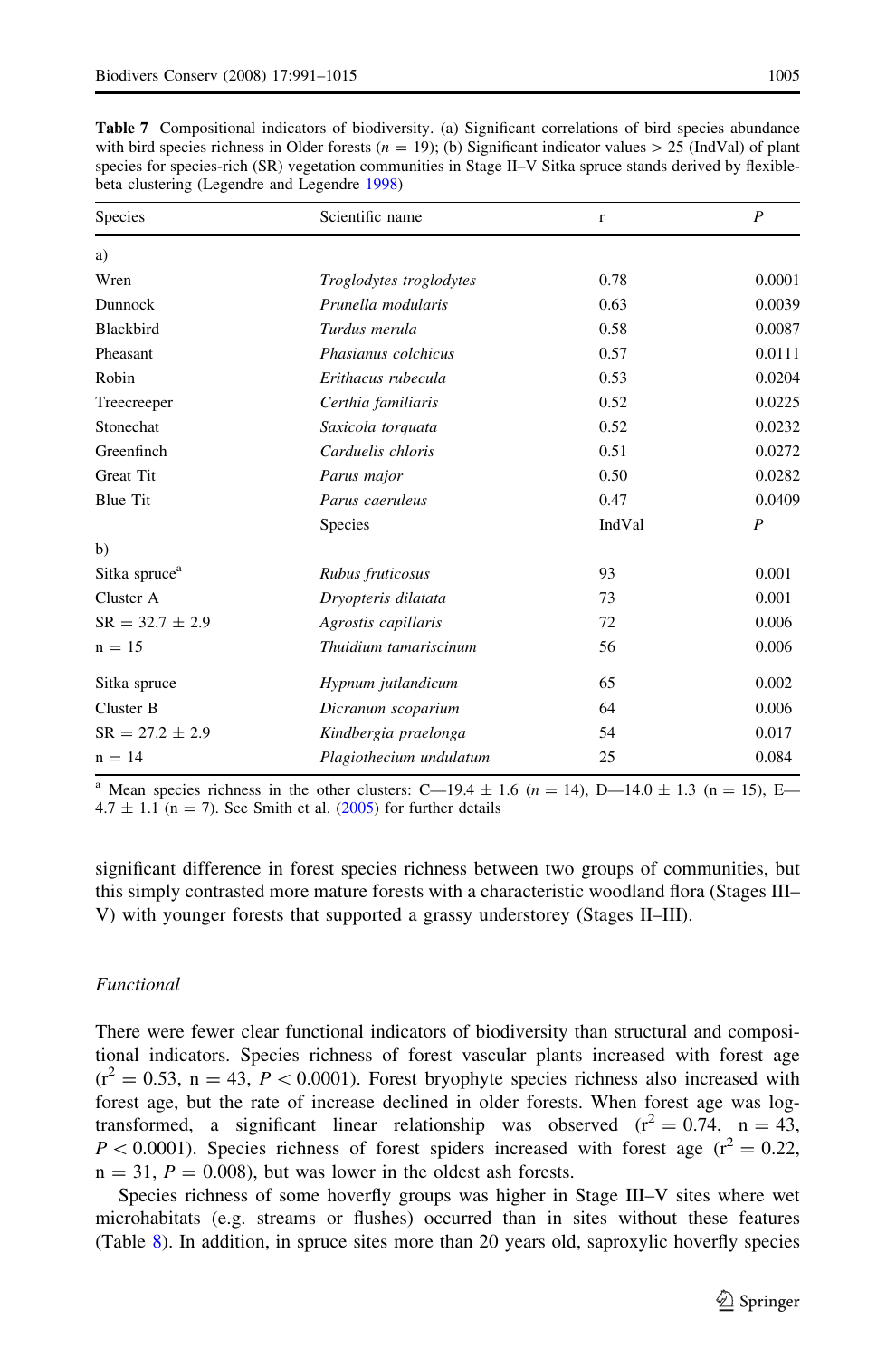| $\frac{1}{2}$             |                         |              |                  |
|---------------------------|-------------------------|--------------|------------------|
| Species                   | Scientific name         | $\mathbf{r}$ | P                |
| a)                        |                         |              |                  |
| Wren                      | Troglodytes troglodytes | 0.78         | 0.0001           |
| Dunnock                   | Prunella modularis      | 0.63         | 0.0039           |
| Blackbird                 | Turdus merula           | 0.58         | 0.0087           |
| Pheasant                  | Phasianus colchicus     | 0.57         | 0.0111           |
| Robin                     | Erithacus rubecula      | 0.53         | 0.0204           |
| Treecreeper               | Certhia familiaris      | 0.52         | 0.0225           |
| Stonechat                 | Saxicola torquata       | 0.52         | 0.0232           |
| Greenfinch                | Carduelis chloris       | 0.51         | 0.0272           |
| Great Tit                 | Parus major             | 0.50         | 0.0282           |
| <b>Blue Tit</b>           | Parus caeruleus         | 0.47         | 0.0409           |
|                           | Species                 | IndVal       | $\boldsymbol{P}$ |
| b)                        |                         |              |                  |
| Sitka spruce <sup>a</sup> | Rubus fruticosus        | 93           | 0.001            |
| Cluster A                 | Dryopteris dilatata     | 73           | 0.001            |
| $SR = 32.7 \pm 2.9$       | Agrostis capillaris     | 72           | 0.006            |
| $n = 15$                  | Thuidium tamariscinum   | 56           | 0.006            |
| Sitka spruce              | Hypnum jutlandicum      | 65           | 0.002            |
| Cluster B                 | Dicranum scoparium      | 64           | 0.006            |
| $SR = 27.2 \pm 2.9$       | Kindbergia praelonga    | 54           | 0.017            |
| $n = 14$                  | Plagiothecium undulatum | 25           | 0.084            |

<span id="page-14-0"></span>Table 7 Compositional indicators of biodiversity. (a) Significant correlations of bird species abundance with bird species richness in Older forests ( $n = 19$ ); (b) Significant indicator values  $> 25$  (IndVal) of plant species for species-rich (SR) vegetation communities in Stage II–V Sitka spruce stands derived by flexiblebeta clustering (Legendre and Legendre [1998](#page-23-0))

<sup>a</sup> Mean species richness in the other clusters: C—19.4  $\pm$  1.6 (n = 14), D—14.0  $\pm$  1.3 (n = 15), E—  $4.7 \pm 1.1$  (n = 7). See Smith et al. ([2005](#page-23-0)) for further details

significant difference in forest species richness between two groups of communities, but this simply contrasted more mature forests with a characteristic woodland flora (Stages III– V) with younger forests that supported a grassy understorey (Stages II–III).

# Functional

There were fewer clear functional indicators of biodiversity than structural and compositional indicators. Species richness of forest vascular plants increased with forest age  $(r^2 = 0.53, n = 43, P < 0.0001)$ . Forest bryophyte species richness also increased with forest age, but the rate of increase declined in older forests. When forest age was logtransformed, a significant linear relationship was observed  $(r^2 = 0.74, n = 43,$  $P < 0.0001$ ). Species richness of forest spiders increased with forest age (r<sup>2</sup> = 0.22,  $n = 31$ ,  $P = 0.008$ , but was lower in the oldest ash forests.

Species richness of some hoverfly groups was higher in Stage III–V sites where wet microhabitats (e.g. streams or flushes) occurred than in sites without these features (Table [8](#page-15-0)). In addition, in spruce sites more than 20 years old, saproxylic hoverfly species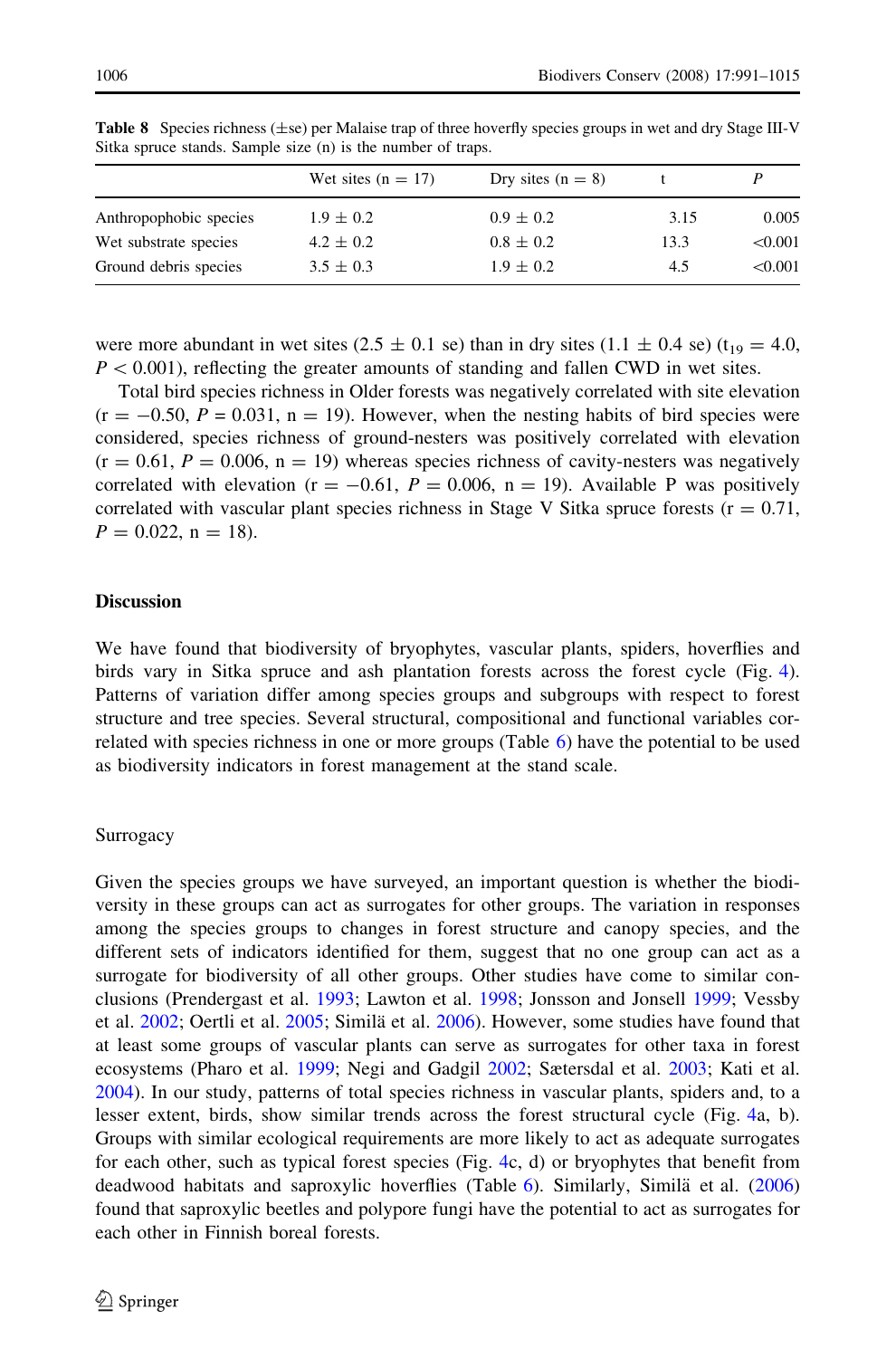|                        | Wet sites $(n = 17)$ | Dry sites $(n = 8)$ |      |         |
|------------------------|----------------------|---------------------|------|---------|
| Anthropophobic species | $1.9 \pm 0.2$        | $0.9 \pm 0.2$       | 3.15 | 0.005   |
| Wet substrate species  | $4.2 \pm 0.2$        | $0.8 \pm 0.2$       | 13.3 | < 0.001 |
| Ground debris species  | $3.5 \pm 0.3$        | $1.9 \pm 0.2$       | 4.5  | < 0.001 |
|                        |                      |                     |      |         |

<span id="page-15-0"></span>Table 8 Species richness (±se) per Malaise trap of three hoverfly species groups in wet and dry Stage III-V Sitka spruce stands. Sample size (n) is the number of traps.

were more abundant in wet sites (2.5  $\pm$  0.1 se) than in dry sites (1.1  $\pm$  0.4 se) (t<sub>19</sub> = 4.0,  $P < 0.001$ ), reflecting the greater amounts of standing and fallen CWD in wet sites.

Total bird species richness in Older forests was negatively correlated with site elevation  $(r = -0.50, P = 0.031, n = 19)$ . However, when the nesting habits of bird species were considered, species richness of ground-nesters was positively correlated with elevation  $(r = 0.61, P = 0.006, n = 19)$  whereas species richness of cavity-nesters was negatively correlated with elevation ( $r = -0.61$ ,  $P = 0.006$ ,  $n = 19$ ). Available P was positively correlated with vascular plant species richness in Stage V Sitka spruce forests ( $r = 0.71$ ,  $P = 0.022$ , n = 18).

## **Discussion**

We have found that biodiversity of bryophytes, vascular plants, spiders, hoverflies and birds vary in Sitka spruce and ash plantation forests across the forest cycle (Fig. [4](#page-11-0)). Patterns of variation differ among species groups and subgroups with respect to forest structure and tree species. Several structural, compositional and functional variables correlated with species richness in one or more groups (Table [6\)](#page-10-0) have the potential to be used as biodiversity indicators in forest management at the stand scale.

# Surrogacy

Given the species groups we have surveyed, an important question is whether the biodiversity in these groups can act as surrogates for other groups. The variation in responses among the species groups to changes in forest structure and canopy species, and the different sets of indicators identified for them, suggest that no one group can act as a surrogate for biodiversity of all other groups. Other studies have come to similar conclusions (Prendergast et al. [1993;](#page-23-0) Lawton et al. [1998;](#page-23-0) Jonsson and Jonsell [1999;](#page-22-0) Vessby et al. [2002;](#page-24-0) Oertli et al. [2005](#page-23-0); Similä et al. [2006](#page-23-0)). However, some studies have found that at least some groups of vascular plants can serve as surrogates for other taxa in forest ecosystems (Pharo et al. [1999](#page-23-0); Negi and Gadgil [2002](#page-23-0); Sætersdal et al. [2003](#page-23-0); Kati et al. [2004\)](#page-22-0). In our study, patterns of total species richness in vascular plants, spiders and, to a lesser extent, birds, show similar trends across the forest structural cycle (Fig. [4](#page-11-0)a, b). Groups with similar ecological requirements are more likely to act as adequate surrogates for each other, such as typical forest species (Fig. [4c](#page-11-0), d) or bryophytes that benefit from deadwood habitats and saproxylic hoverflies (Table [6\)](#page-10-0). Similarly, Simila et al. ([2006](#page-23-0)) found that saproxylic beetles and polypore fungi have the potential to act as surrogates for each other in Finnish boreal forests.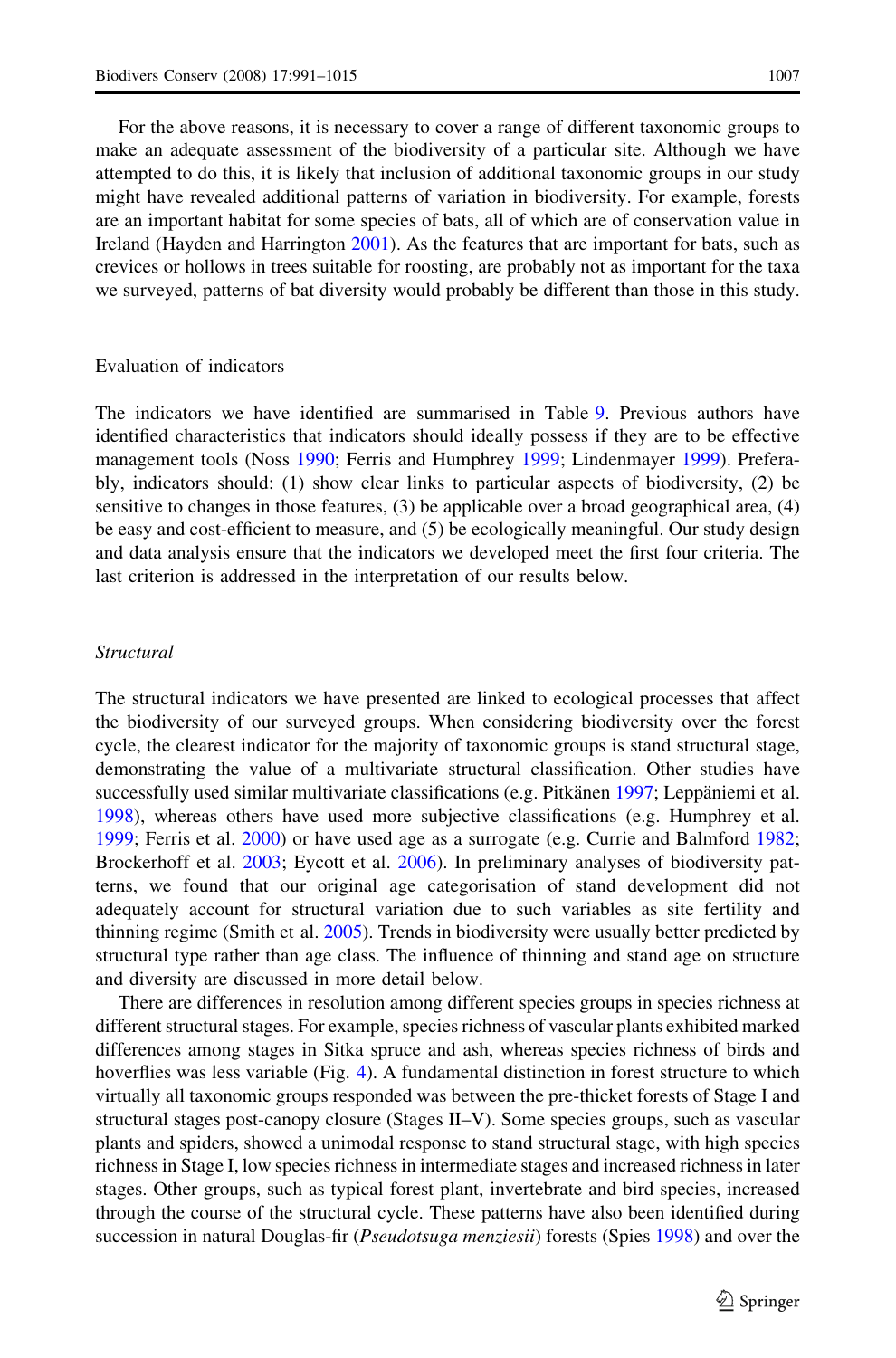For the above reasons, it is necessary to cover a range of different taxonomic groups to make an adequate assessment of the biodiversity of a particular site. Although we have attempted to do this, it is likely that inclusion of additional taxonomic groups in our study might have revealed additional patterns of variation in biodiversity. For example, forests are an important habitat for some species of bats, all of which are of conservation value in Ireland (Hayden and Harrington [2001](#page-22-0)). As the features that are important for bats, such as crevices or hollows in trees suitable for roosting, are probably not as important for the taxa we surveyed, patterns of bat diversity would probably be different than those in this study.

## Evaluation of indicators

The indicators we have identified are summarised in Table [9.](#page-17-0) Previous authors have identified characteristics that indicators should ideally possess if they are to be effective management tools (Noss [1990](#page-23-0); Ferris and Humphrey [1999;](#page-22-0) Lindenmayer [1999](#page-23-0)). Preferably, indicators should: (1) show clear links to particular aspects of biodiversity, (2) be sensitive to changes in those features, (3) be applicable over a broad geographical area, (4) be easy and cost-efficient to measure, and (5) be ecologically meaningful. Our study design and data analysis ensure that the indicators we developed meet the first four criteria. The last criterion is addressed in the interpretation of our results below.

# Structural

The structural indicators we have presented are linked to ecological processes that affect the biodiversity of our surveyed groups. When considering biodiversity over the forest cycle, the clearest indicator for the majority of taxonomic groups is stand structural stage, demonstrating the value of a multivariate structural classification. Other studies have successfully used similar multivariate classifications (e.g. Pitkänen [1997;](#page-23-0) Leppäniemi et al. [1998\)](#page-23-0), whereas others have used more subjective classifications (e.g. Humphrey et al. [1999;](#page-22-0) Ferris et al. [2000\)](#page-22-0) or have used age as a surrogate (e.g. Currie and Balmford [1982;](#page-21-0) Brockerhoff et al. [2003](#page-21-0); Eycott et al. [2006](#page-22-0)). In preliminary analyses of biodiversity patterns, we found that our original age categorisation of stand development did not adequately account for structural variation due to such variables as site fertility and thinning regime (Smith et al. [2005\)](#page-23-0). Trends in biodiversity were usually better predicted by structural type rather than age class. The influence of thinning and stand age on structure and diversity are discussed in more detail below.

There are differences in resolution among different species groups in species richness at different structural stages. For example, species richness of vascular plants exhibited marked differences among stages in Sitka spruce and ash, whereas species richness of birds and hoverflies was less variable (Fig. [4\)](#page-11-0). A fundamental distinction in forest structure to which virtually all taxonomic groups responded was between the pre-thicket forests of Stage I and structural stages post-canopy closure (Stages II–V). Some species groups, such as vascular plants and spiders, showed a unimodal response to stand structural stage, with high species richness in Stage I, low species richness in intermediate stages and increased richness in later stages. Other groups, such as typical forest plant, invertebrate and bird species, increased through the course of the structural cycle. These patterns have also been identified during succession in natural Douglas-fir (*Pseudotsuga menziesii*) forests (Spies [1998](#page-24-0)) and over the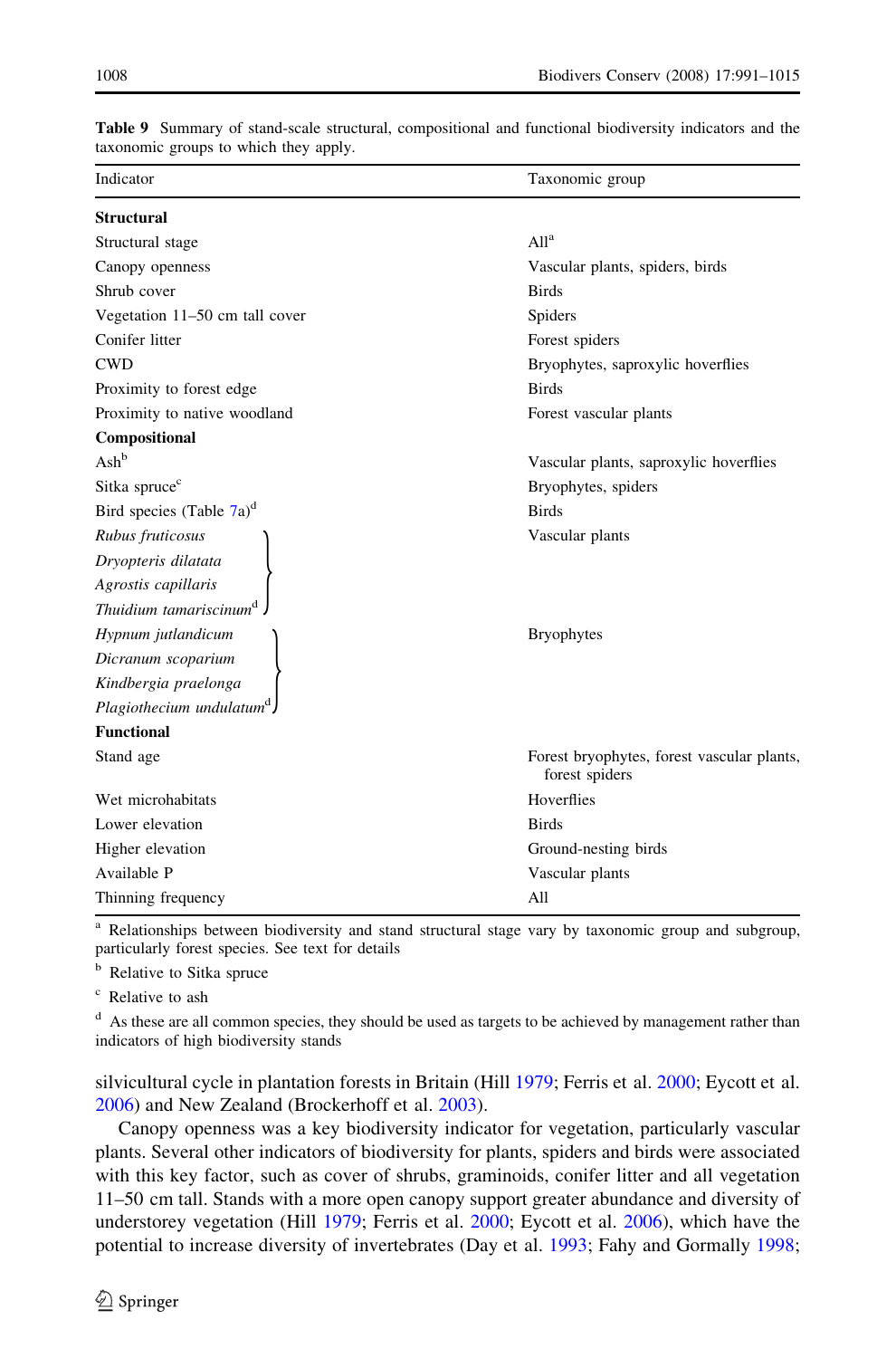| Indicator                              | Taxonomic group                                              |
|----------------------------------------|--------------------------------------------------------------|
| <b>Structural</b>                      |                                                              |
| Structural stage                       | All <sup>a</sup>                                             |
| Canopy openness                        | Vascular plants, spiders, birds                              |
| Shrub cover                            | <b>Birds</b>                                                 |
| Vegetation 11-50 cm tall cover         | Spiders                                                      |
| Conifer litter                         | Forest spiders                                               |
| <b>CWD</b>                             | Bryophytes, saproxylic hoverflies                            |
| Proximity to forest edge               | <b>Birds</b>                                                 |
| Proximity to native woodland           | Forest vascular plants                                       |
| Compositional                          |                                                              |
| $\mathbf{A}$ sh <sup>b</sup>           | Vascular plants, saproxylic hoverflies                       |
| Sitka spruce <sup>c</sup>              | Bryophytes, spiders                                          |
| Bird species (Table 7a) <sup>d</sup>   | <b>Birds</b>                                                 |
| Rubus fruticosus                       | Vascular plants                                              |
| Dryopteris dilatata                    |                                                              |
| Agrostis capillaris                    |                                                              |
| Thuidium tamariscinum <sup>d</sup>     |                                                              |
| Hypnum jutlandicum                     | <b>Bryophytes</b>                                            |
| Dicranum scoparium                     |                                                              |
| Kindbergia praelonga                   |                                                              |
| Plagiothecium undulatum <sup>d</sup> , |                                                              |
| <b>Functional</b>                      |                                                              |
| Stand age                              | Forest bryophytes, forest vascular plants,<br>forest spiders |
| Wet microhabitats                      | Hoverflies                                                   |
| Lower elevation                        | <b>Birds</b>                                                 |
| Higher elevation                       | Ground-nesting birds                                         |
| Available P                            | Vascular plants                                              |
| Thinning frequency                     | All                                                          |

<span id="page-17-0"></span>Table 9 Summary of stand-scale structural, compositional and functional biodiversity indicators and the taxonomic groups to which they apply.

<sup>a</sup> Relationships between biodiversity and stand structural stage vary by taxonomic group and subgroup, particularly forest species. See text for details

**b** Relative to Sitka spruce

<sup>c</sup> Relative to ash

 $d<sup>d</sup>$  As these are all common species, they should be used as targets to be achieved by management rather than indicators of high biodiversity stands

silvicultural cycle in plantation forests in Britain (Hill [1979;](#page-22-0) Ferris et al. [2000](#page-22-0); Eycott et al. [2006\)](#page-22-0) and New Zealand (Brockerhoff et al. [2003](#page-21-0)).

Canopy openness was a key biodiversity indicator for vegetation, particularly vascular plants. Several other indicators of biodiversity for plants, spiders and birds were associated with this key factor, such as cover of shrubs, graminoids, conifer litter and all vegetation 11–50 cm tall. Stands with a more open canopy support greater abundance and diversity of understorey vegetation (Hill [1979](#page-22-0); Ferris et al. [2000;](#page-22-0) Eycott et al. [2006\)](#page-22-0), which have the potential to increase diversity of invertebrates (Day et al. [1993](#page-21-0); Fahy and Gormally [1998;](#page-22-0)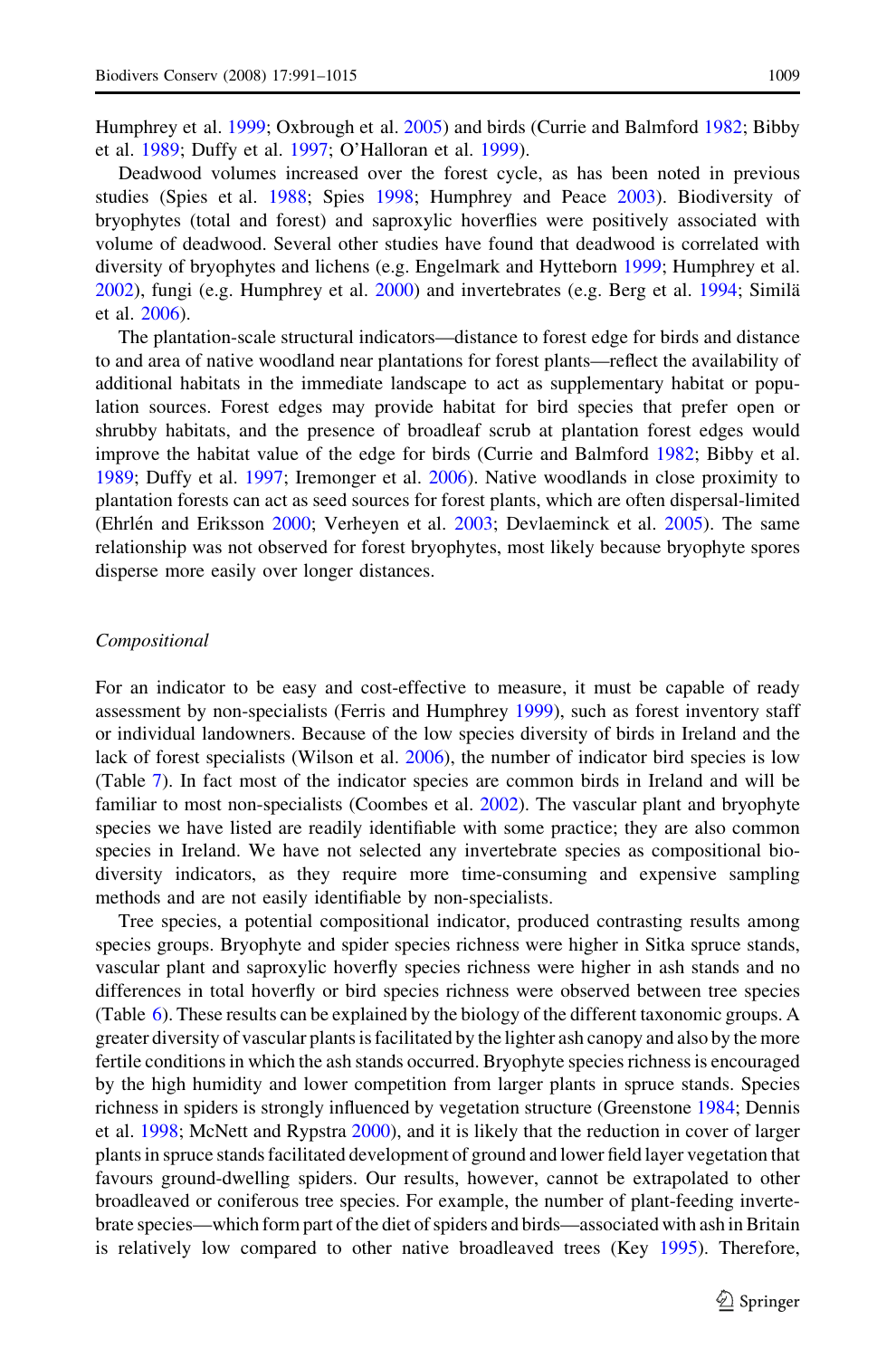Humphrey et al. [1999;](#page-22-0) Oxbrough et al. [2005](#page-23-0)) and birds (Currie and Balmford [1982](#page-21-0); Bibby et al. [1989](#page-21-0); Duffy et al. [1997](#page-21-0); O'Halloran et al. [1999\)](#page-23-0).

Deadwood volumes increased over the forest cycle, as has been noted in previous studies (Spies et al. [1988;](#page-24-0) Spies [1998](#page-24-0); Humphrey and Peace [2003\)](#page-22-0). Biodiversity of bryophytes (total and forest) and saproxylic hoverflies were positively associated with volume of deadwood. Several other studies have found that deadwood is correlated with diversity of bryophytes and lichens (e.g. Engelmark and Hytteborn [1999;](#page-22-0) Humphrey et al.  $2002$ ), fungi (e.g. Humphrey et al.  $2000$ ) and invertebrates (e.g. Berg et al. [1994;](#page-21-0) Similä et al. [2006](#page-23-0)).

The plantation-scale structural indicators—distance to forest edge for birds and distance to and area of native woodland near plantations for forest plants—reflect the availability of additional habitats in the immediate landscape to act as supplementary habitat or population sources. Forest edges may provide habitat for bird species that prefer open or shrubby habitats, and the presence of broadleaf scrub at plantation forest edges would improve the habitat value of the edge for birds (Currie and Balmford [1982;](#page-21-0) Bibby et al. [1989;](#page-21-0) Duffy et al. [1997](#page-21-0); Iremonger et al. [2006](#page-22-0)). Native woodlands in close proximity to plantation forests can act as seed sources for forest plants, which are often dispersal-limited (Ehrlén and Eriksson [2000;](#page-21-0) Verheyen et al. [2003;](#page-24-0) Devlaeminck et al. [2005](#page-21-0)). The same relationship was not observed for forest bryophytes, most likely because bryophyte spores disperse more easily over longer distances.

#### Compositional

For an indicator to be easy and cost-effective to measure, it must be capable of ready assessment by non-specialists (Ferris and Humphrey [1999\)](#page-22-0), such as forest inventory staff or individual landowners. Because of the low species diversity of birds in Ireland and the lack of forest specialists (Wilson et al. [2006\)](#page-24-0), the number of indicator bird species is low (Table [7](#page-14-0)). In fact most of the indicator species are common birds in Ireland and will be familiar to most non-specialists (Coombes et al. [2002](#page-21-0)). The vascular plant and bryophyte species we have listed are readily identifiable with some practice; they are also common species in Ireland. We have not selected any invertebrate species as compositional biodiversity indicators, as they require more time-consuming and expensive sampling methods and are not easily identifiable by non-specialists.

Tree species, a potential compositional indicator, produced contrasting results among species groups. Bryophyte and spider species richness were higher in Sitka spruce stands, vascular plant and saproxylic hoverfly species richness were higher in ash stands and no differences in total hoverfly or bird species richness were observed between tree species (Table [6](#page-10-0)). These results can be explained by the biology of the different taxonomic groups. A greater diversity of vascular plants is facilitated by the lighter ash canopy and also by the more fertile conditions in which the ash stands occurred. Bryophyte species richness is encouraged by the high humidity and lower competition from larger plants in spruce stands. Species richness in spiders is strongly influenced by vegetation structure (Greenstone [1984;](#page-22-0) Dennis et al. [1998;](#page-21-0) McNett and Rypstra [2000\)](#page-23-0), and it is likely that the reduction in cover of larger plants in spruce stands facilitated development of ground and lower field layer vegetation that favours ground-dwelling spiders. Our results, however, cannot be extrapolated to other broadleaved or coniferous tree species. For example, the number of plant-feeding invertebrate species—which form part of the diet of spiders and birds—associated with ash in Britain is relatively low compared to other native broadleaved trees (Key [1995](#page-22-0)). Therefore,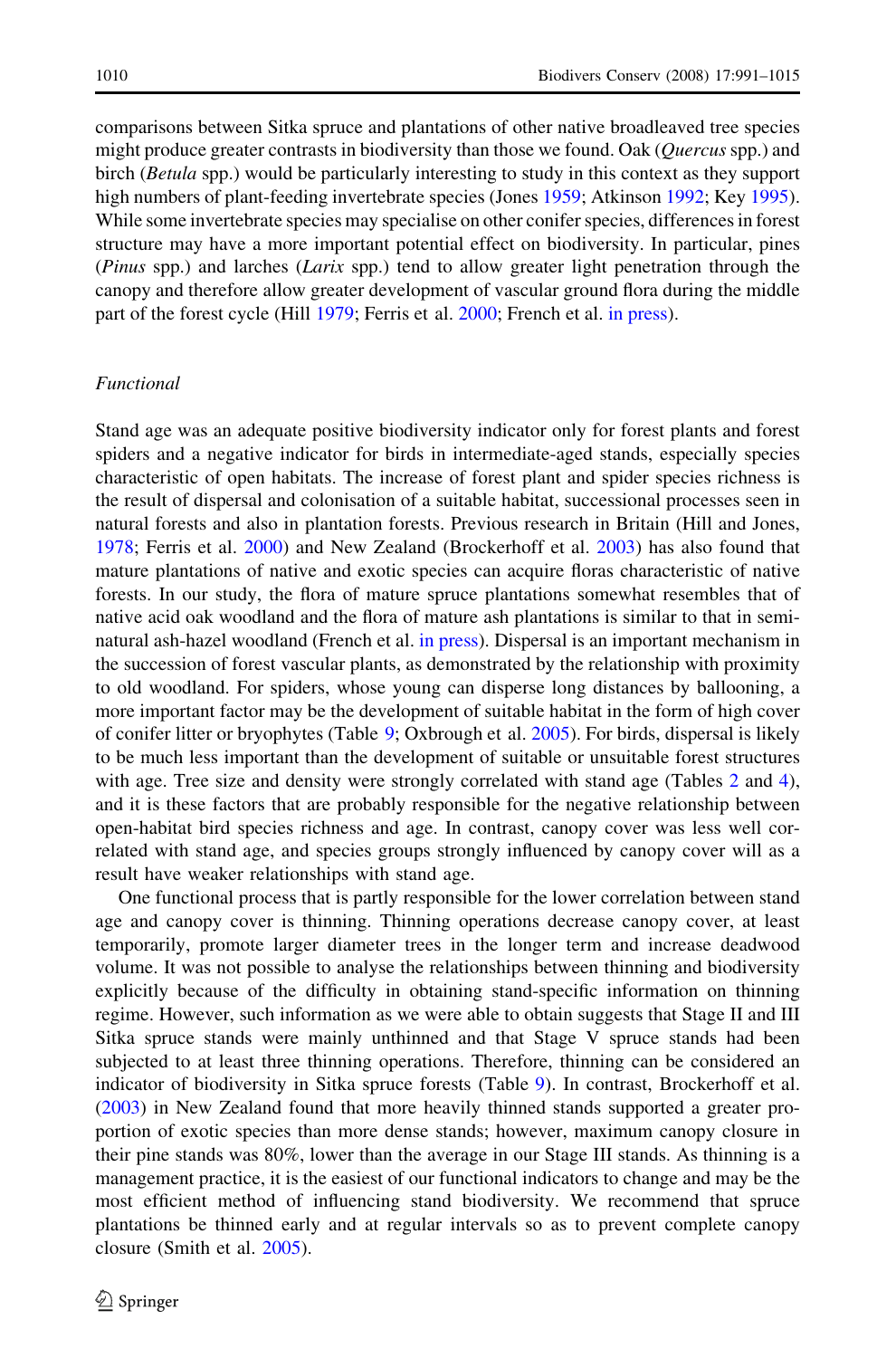comparisons between Sitka spruce and plantations of other native broadleaved tree species might produce greater contrasts in biodiversity than those we found. Oak (*Quercus* spp.) and birch (Betula spp.) would be particularly interesting to study in this context as they support high numbers of plant-feeding invertebrate species (Jones [1959](#page-22-0); Atkinson [1992;](#page-21-0) Key [1995](#page-22-0)). While some invertebrate species may specialise on other conifer species, differences in forest structure may have a more important potential effect on biodiversity. In particular, pines (*Pinus* spp.) and larches (*Larix* spp.) tend to allow greater light penetration through the canopy and therefore allow greater development of vascular ground flora during the middle part of the forest cycle (Hill [1979;](#page-22-0) Ferris et al. [2000;](#page-22-0) French et al. [in press\)](#page-22-0).

# Functional

Stand age was an adequate positive biodiversity indicator only for forest plants and forest spiders and a negative indicator for birds in intermediate-aged stands, especially species characteristic of open habitats. The increase of forest plant and spider species richness is the result of dispersal and colonisation of a suitable habitat, successional processes seen in natural forests and also in plantation forests. Previous research in Britain (Hill and Jones, [1978;](#page-22-0) Ferris et al. [2000\)](#page-22-0) and New Zealand (Brockerhoff et al. [2003\)](#page-21-0) has also found that mature plantations of native and exotic species can acquire floras characteristic of native forests. In our study, the flora of mature spruce plantations somewhat resembles that of native acid oak woodland and the flora of mature ash plantations is similar to that in seminatural ash-hazel woodland (French et al. [in press\)](#page-22-0). Dispersal is an important mechanism in the succession of forest vascular plants, as demonstrated by the relationship with proximity to old woodland. For spiders, whose young can disperse long distances by ballooning, a more important factor may be the development of suitable habitat in the form of high cover of conifer litter or bryophytes (Table [9;](#page-17-0) Oxbrough et al. [2005\)](#page-23-0). For birds, dispersal is likely to be much less important than the development of suitable or unsuitable forest structures with age. Tree size and density were strongly correlated with stand age (Tables [2](#page-8-0) and [4](#page-9-0)), and it is these factors that are probably responsible for the negative relationship between open-habitat bird species richness and age. In contrast, canopy cover was less well correlated with stand age, and species groups strongly influenced by canopy cover will as a result have weaker relationships with stand age.

One functional process that is partly responsible for the lower correlation between stand age and canopy cover is thinning. Thinning operations decrease canopy cover, at least temporarily, promote larger diameter trees in the longer term and increase deadwood volume. It was not possible to analyse the relationships between thinning and biodiversity explicitly because of the difficulty in obtaining stand-specific information on thinning regime. However, such information as we were able to obtain suggests that Stage II and III Sitka spruce stands were mainly unthinned and that Stage V spruce stands had been subjected to at least three thinning operations. Therefore, thinning can be considered an indicator of biodiversity in Sitka spruce forests (Table [9](#page-17-0)). In contrast, Brockerhoff et al. ([2003\)](#page-21-0) in New Zealand found that more heavily thinned stands supported a greater proportion of exotic species than more dense stands; however, maximum canopy closure in their pine stands was 80%, lower than the average in our Stage III stands. As thinning is a management practice, it is the easiest of our functional indicators to change and may be the most efficient method of influencing stand biodiversity. We recommend that spruce plantations be thinned early and at regular intervals so as to prevent complete canopy closure (Smith et al. [2005\)](#page-23-0).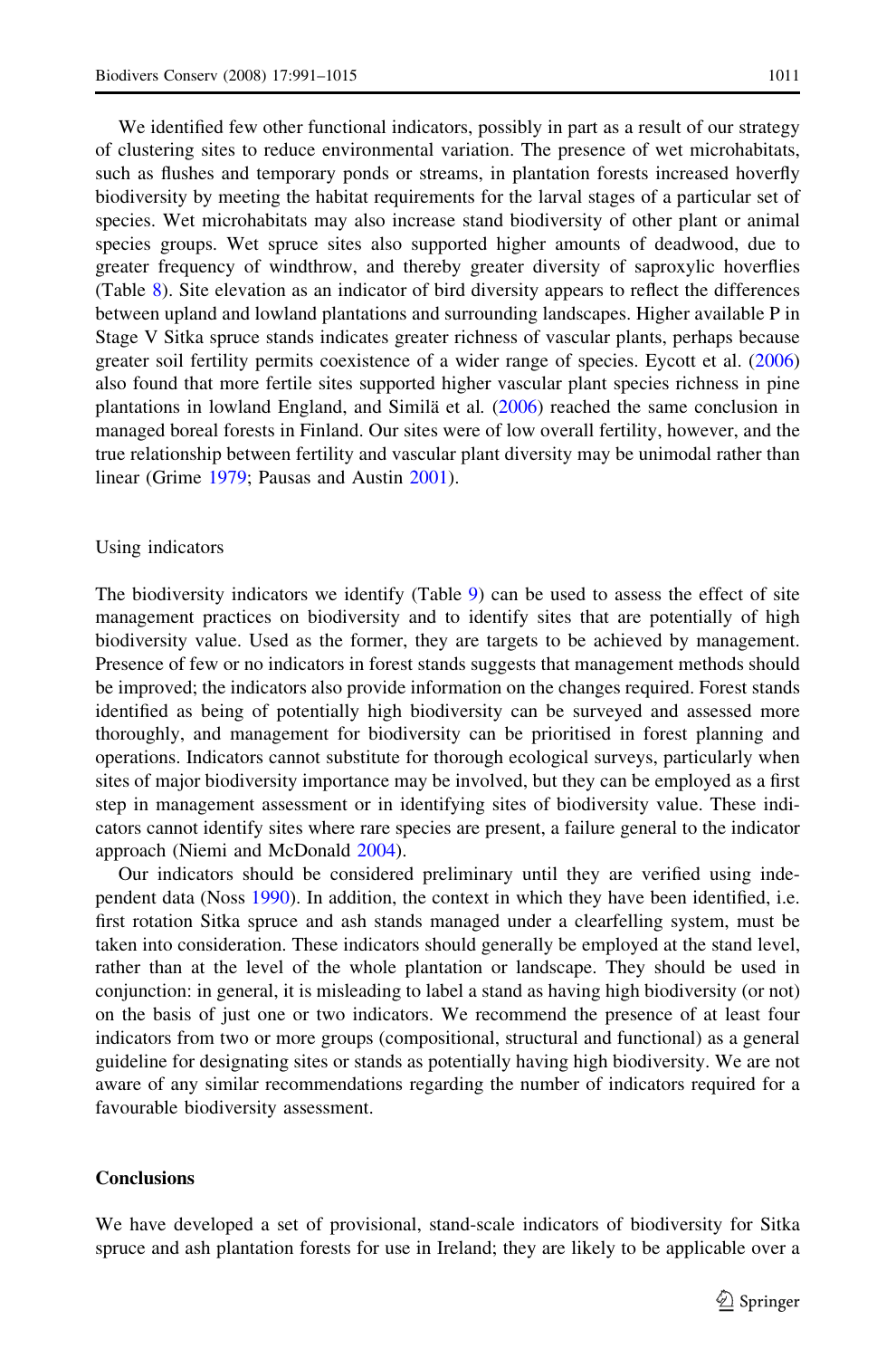We identified few other functional indicators, possibly in part as a result of our strategy of clustering sites to reduce environmental variation. The presence of wet microhabitats, such as flushes and temporary ponds or streams, in plantation forests increased hoverfly biodiversity by meeting the habitat requirements for the larval stages of a particular set of species. Wet microhabitats may also increase stand biodiversity of other plant or animal species groups. Wet spruce sites also supported higher amounts of deadwood, due to greater frequency of windthrow, and thereby greater diversity of saproxylic hoverflies (Table [8](#page-15-0)). Site elevation as an indicator of bird diversity appears to reflect the differences between upland and lowland plantations and surrounding landscapes. Higher available P in Stage V Sitka spruce stands indicates greater richness of vascular plants, perhaps because greater soil fertility permits coexistence of a wider range of species. Eycott et al. ([2006](#page-22-0)) also found that more fertile sites supported higher vascular plant species richness in pine plantations in lowland England, and Similä et al. ([2006\)](#page-23-0) reached the same conclusion in managed boreal forests in Finland. Our sites were of low overall fertility, however, and the true relationship between fertility and vascular plant diversity may be unimodal rather than linear (Grime [1979](#page-22-0); Pausas and Austin [2001\)](#page-23-0).

#### Using indicators

The biodiversity indicators we identify (Table [9\)](#page-17-0) can be used to assess the effect of site management practices on biodiversity and to identify sites that are potentially of high biodiversity value. Used as the former, they are targets to be achieved by management. Presence of few or no indicators in forest stands suggests that management methods should be improved; the indicators also provide information on the changes required. Forest stands identified as being of potentially high biodiversity can be surveyed and assessed more thoroughly, and management for biodiversity can be prioritised in forest planning and operations. Indicators cannot substitute for thorough ecological surveys, particularly when sites of major biodiversity importance may be involved, but they can be employed as a first step in management assessment or in identifying sites of biodiversity value. These indicators cannot identify sites where rare species are present, a failure general to the indicator approach (Niemi and McDonald [2004](#page-23-0)).

Our indicators should be considered preliminary until they are verified using independent data (Noss [1990](#page-23-0)). In addition, the context in which they have been identified, i.e. first rotation Sitka spruce and ash stands managed under a clearfelling system, must be taken into consideration. These indicators should generally be employed at the stand level, rather than at the level of the whole plantation or landscape. They should be used in conjunction: in general, it is misleading to label a stand as having high biodiversity (or not) on the basis of just one or two indicators. We recommend the presence of at least four indicators from two or more groups (compositional, structural and functional) as a general guideline for designating sites or stands as potentially having high biodiversity. We are not aware of any similar recommendations regarding the number of indicators required for a favourable biodiversity assessment.

### Conclusions

We have developed a set of provisional, stand-scale indicators of biodiversity for Sitka spruce and ash plantation forests for use in Ireland; they are likely to be applicable over a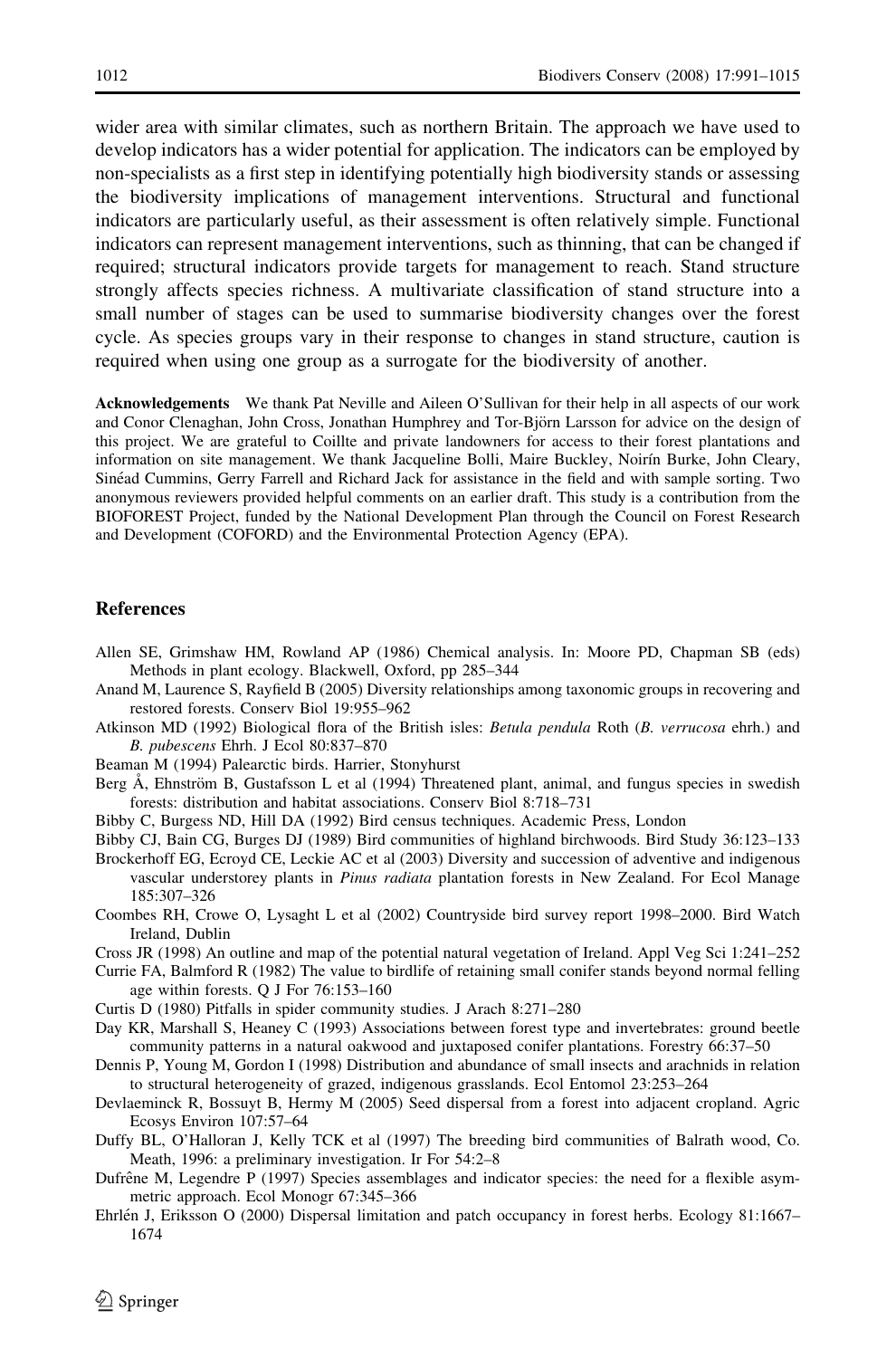<span id="page-21-0"></span>wider area with similar climates, such as northern Britain. The approach we have used to develop indicators has a wider potential for application. The indicators can be employed by non-specialists as a first step in identifying potentially high biodiversity stands or assessing the biodiversity implications of management interventions. Structural and functional indicators are particularly useful, as their assessment is often relatively simple. Functional indicators can represent management interventions, such as thinning, that can be changed if required; structural indicators provide targets for management to reach. Stand structure strongly affects species richness. A multivariate classification of stand structure into a small number of stages can be used to summarise biodiversity changes over the forest cycle. As species groups vary in their response to changes in stand structure, caution is required when using one group as a surrogate for the biodiversity of another.

Acknowledgements We thank Pat Neville and Aileen O'Sullivan for their help in all aspects of our work and Conor Clenaghan, John Cross, Jonathan Humphrey and Tor-Björn Larsson for advice on the design of this project. We are grateful to Coillte and private landowners for access to their forest plantations and information on site management. We thank Jacqueline Bolli, Maire Buckley, Noirín Burke, John Cleary, Sinéad Cummins, Gerry Farrell and Richard Jack for assistance in the field and with sample sorting. Two anonymous reviewers provided helpful comments on an earlier draft. This study is a contribution from the BIOFOREST Project, funded by the National Development Plan through the Council on Forest Research and Development (COFORD) and the Environmental Protection Agency (EPA).

## References

- Allen SE, Grimshaw HM, Rowland AP (1986) Chemical analysis. In: Moore PD, Chapman SB (eds) Methods in plant ecology. Blackwell, Oxford, pp 285–344
- Anand M, Laurence S, Rayfield B (2005) Diversity relationships among taxonomic groups in recovering and restored forests. Conserv Biol 19:955–962
- Atkinson MD (1992) Biological flora of the British isles: Betula pendula Roth (B. verrucosa ehrh.) and B. pubescens Ehrh. J Ecol 80:837–870
- Beaman M (1994) Palearctic birds. Harrier, Stonyhurst
- Berg Å, Ehnström B, Gustafsson L et al (1994) Threatened plant, animal, and fungus species in swedish forests: distribution and habitat associations. Conserv Biol 8:718–731
- Bibby C, Burgess ND, Hill DA (1992) Bird census techniques. Academic Press, London
- Bibby CJ, Bain CG, Burges DJ (1989) Bird communities of highland birchwoods. Bird Study 36:123–133
- Brockerhoff EG, Ecroyd CE, Leckie AC et al (2003) Diversity and succession of adventive and indigenous vascular understorey plants in Pinus radiata plantation forests in New Zealand. For Ecol Manage 185:307–326
- Coombes RH, Crowe O, Lysaght L et al (2002) Countryside bird survey report 1998–2000. Bird Watch Ireland, Dublin
- Cross JR (1998) An outline and map of the potential natural vegetation of Ireland. Appl Veg Sci 1:241–252
- Currie FA, Balmford R (1982) The value to birdlife of retaining small conifer stands beyond normal felling age within forests. Q J For 76:153–160
- Curtis D (1980) Pitfalls in spider community studies. J Arach 8:271–280
- Day KR, Marshall S, Heaney C (1993) Associations between forest type and invertebrates: ground beetle community patterns in a natural oakwood and juxtaposed conifer plantations. Forestry 66:37–50
- Dennis P, Young M, Gordon I (1998) Distribution and abundance of small insects and arachnids in relation to structural heterogeneity of grazed, indigenous grasslands. Ecol Entomol 23:253–264
- Devlaeminck R, Bossuyt B, Hermy M (2005) Seed dispersal from a forest into adjacent cropland. Agric Ecosys Environ 107:57–64
- Duffy BL, O'Halloran J, Kelly TCK et al (1997) The breeding bird communities of Balrath wood, Co. Meath, 1996: a preliminary investigation. Ir For 54:2–8
- Dufrêne M, Legendre P (1997) Species assemblages and indicator species: the need for a flexible asymmetric approach. Ecol Monogr 67:345–366
- Ehrlén J, Eriksson O (2000) Dispersal limitation and patch occupancy in forest herbs. Ecology 81:1667-1674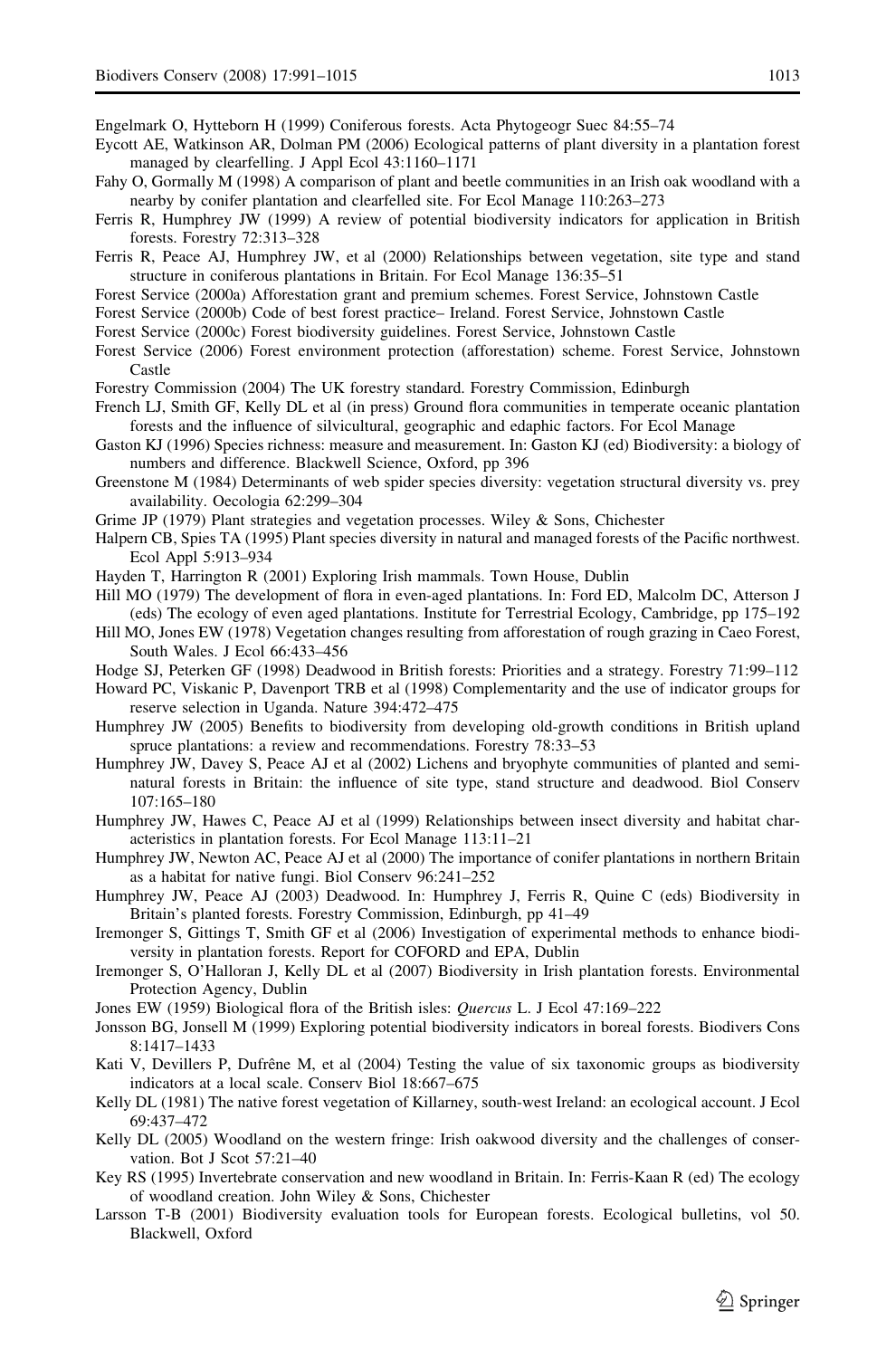<span id="page-22-0"></span>Engelmark O, Hytteborn H (1999) Coniferous forests. Acta Phytogeogr Suec 84:55–74

- Eycott AE, Watkinson AR, Dolman PM (2006) Ecological patterns of plant diversity in a plantation forest managed by clearfelling. J Appl Ecol 43:1160–1171
- Fahy O, Gormally M (1998) A comparison of plant and beetle communities in an Irish oak woodland with a nearby by conifer plantation and clearfelled site. For Ecol Manage 110:263–273
- Ferris R, Humphrey JW (1999) A review of potential biodiversity indicators for application in British forests. Forestry 72:313–328
- Ferris R, Peace AJ, Humphrey JW, et al (2000) Relationships between vegetation, site type and stand structure in coniferous plantations in Britain. For Ecol Manage 136:35–51
- Forest Service (2000a) Afforestation grant and premium schemes. Forest Service, Johnstown Castle
- Forest Service (2000b) Code of best forest practice– Ireland. Forest Service, Johnstown Castle
- Forest Service (2000c) Forest biodiversity guidelines. Forest Service, Johnstown Castle
- Forest Service (2006) Forest environment protection (afforestation) scheme. Forest Service, Johnstown Castle

Forestry Commission (2004) The UK forestry standard. Forestry Commission, Edinburgh

- French LJ, Smith GF, Kelly DL et al (in press) Ground flora communities in temperate oceanic plantation forests and the influence of silvicultural, geographic and edaphic factors. For Ecol Manage
- Gaston KJ (1996) Species richness: measure and measurement. In: Gaston KJ (ed) Biodiversity: a biology of numbers and difference. Blackwell Science, Oxford, pp 396
- Greenstone M (1984) Determinants of web spider species diversity: vegetation structural diversity vs. prey availability. Oecologia 62:299–304

Grime JP (1979) Plant strategies and vegetation processes. Wiley & Sons, Chichester

- Halpern CB, Spies TA (1995) Plant species diversity in natural and managed forests of the Pacific northwest. Ecol Appl 5:913–934
- Hayden T, Harrington R (2001) Exploring Irish mammals. Town House, Dublin
- Hill MO (1979) The development of flora in even-aged plantations. In: Ford ED, Malcolm DC, Atterson J (eds) The ecology of even aged plantations. Institute for Terrestrial Ecology, Cambridge, pp 175–192
- Hill MO, Jones EW (1978) Vegetation changes resulting from afforestation of rough grazing in Caeo Forest, South Wales. J Ecol 66:433–456
- Hodge SJ, Peterken GF (1998) Deadwood in British forests: Priorities and a strategy. Forestry 71:99–112
- Howard PC, Viskanic P, Davenport TRB et al (1998) Complementarity and the use of indicator groups for reserve selection in Uganda. Nature 394:472–475
- Humphrey JW (2005) Benefits to biodiversity from developing old-growth conditions in British upland spruce plantations: a review and recommendations. Forestry 78:33–53
- Humphrey JW, Davey S, Peace AJ et al (2002) Lichens and bryophyte communities of planted and seminatural forests in Britain: the influence of site type, stand structure and deadwood. Biol Conserv 107:165–180
- Humphrey JW, Hawes C, Peace AJ et al (1999) Relationships between insect diversity and habitat characteristics in plantation forests. For Ecol Manage 113:11–21
- Humphrey JW, Newton AC, Peace AJ et al (2000) The importance of conifer plantations in northern Britain as a habitat for native fungi. Biol Conserv 96:241–252
- Humphrey JW, Peace AJ (2003) Deadwood. In: Humphrey J, Ferris R, Quine C (eds) Biodiversity in Britain's planted forests. Forestry Commission, Edinburgh, pp 41–49
- Iremonger S, Gittings T, Smith GF et al (2006) Investigation of experimental methods to enhance biodiversity in plantation forests. Report for COFORD and EPA, Dublin
- Iremonger S, O'Halloran J, Kelly DL et al (2007) Biodiversity in Irish plantation forests. Environmental Protection Agency, Dublin

Jones EW (1959) Biological flora of the British isles: Quercus L. J Ecol 47:169–222

- Jonsson BG, Jonsell M (1999) Exploring potential biodiversity indicators in boreal forests. Biodivers Cons 8:1417–1433
- Kati V, Devillers P, Dufrêne M, et al (2004) Testing the value of six taxonomic groups as biodiversity indicators at a local scale. Conserv Biol 18:667–675
- Kelly DL (1981) The native forest vegetation of Killarney, south-west Ireland: an ecological account. J Ecol 69:437–472
- Kelly DL (2005) Woodland on the western fringe: Irish oakwood diversity and the challenges of conservation. Bot J Scot 57:21–40
- Key RS (1995) Invertebrate conservation and new woodland in Britain. In: Ferris-Kaan R (ed) The ecology of woodland creation. John Wiley & Sons, Chichester
- Larsson T-B (2001) Biodiversity evaluation tools for European forests. Ecological bulletins, vol 50. Blackwell, Oxford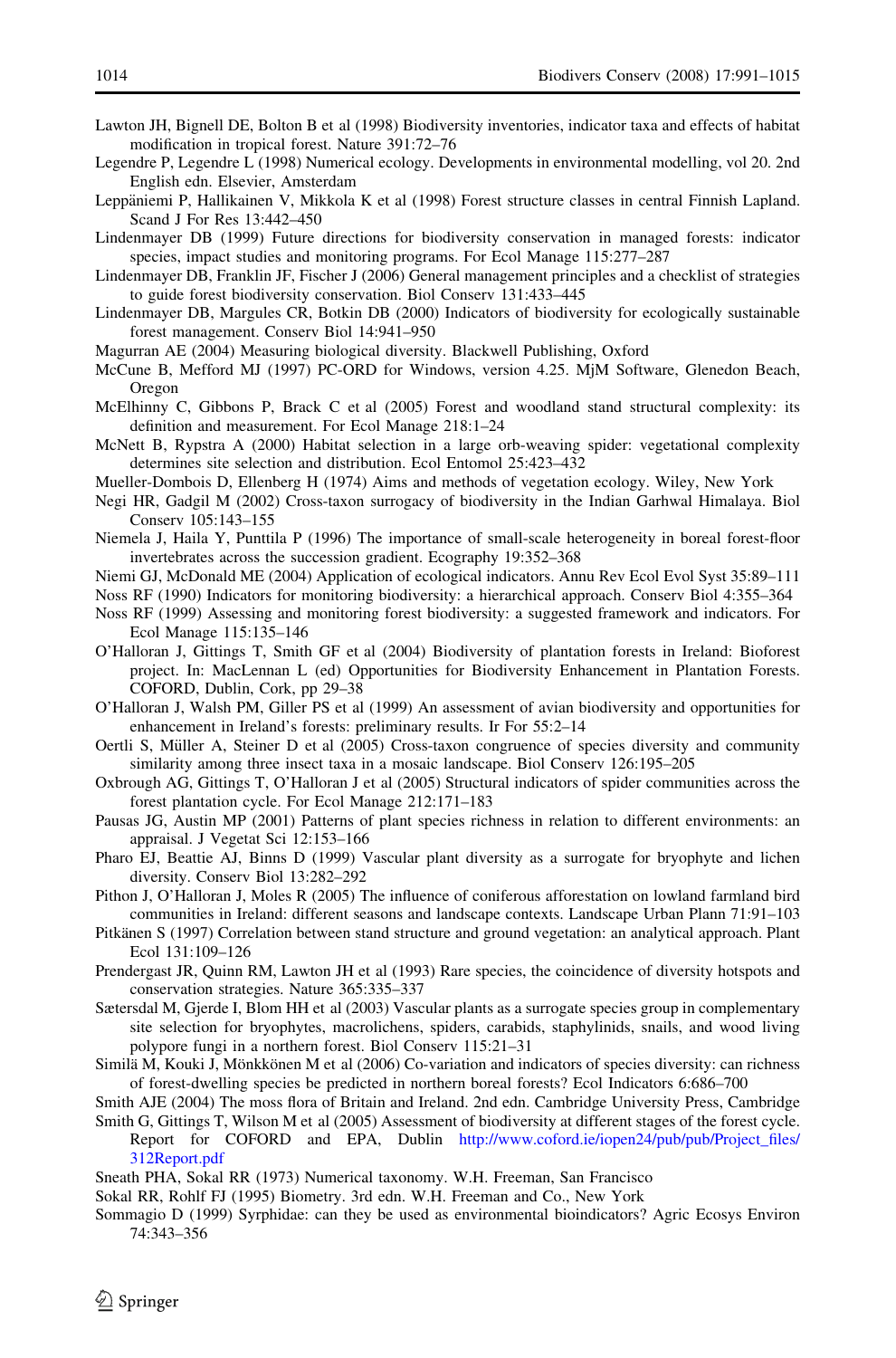<span id="page-23-0"></span>Lawton JH, Bignell DE, Bolton B et al (1998) Biodiversity inventories, indicator taxa and effects of habitat modification in tropical forest. Nature 391:72–76

- Legendre P, Legendre L (1998) Numerical ecology. Developments in environmental modelling, vol 20. 2nd English edn. Elsevier, Amsterdam
- Leppäniemi P, Hallikainen V, Mikkola K et al (1998) Forest structure classes in central Finnish Lapland. Scand J For Res 13:442–450
- Lindenmayer DB (1999) Future directions for biodiversity conservation in managed forests: indicator species, impact studies and monitoring programs. For Ecol Manage 115:277–287
- Lindenmayer DB, Franklin JF, Fischer J (2006) General management principles and a checklist of strategies to guide forest biodiversity conservation. Biol Conserv 131:433–445
- Lindenmayer DB, Margules CR, Botkin DB (2000) Indicators of biodiversity for ecologically sustainable forest management. Conserv Biol 14:941–950
- Magurran AE (2004) Measuring biological diversity. Blackwell Publishing, Oxford
- McCune B, Mefford MJ (1997) PC-ORD for Windows, version 4.25. MjM Software, Glenedon Beach, Oregon
- McElhinny C, Gibbons P, Brack C et al (2005) Forest and woodland stand structural complexity: its definition and measurement. For Ecol Manage 218:1–24
- McNett B, Rypstra A (2000) Habitat selection in a large orb-weaving spider: vegetational complexity determines site selection and distribution. Ecol Entomol 25:423–432
- Mueller-Dombois D, Ellenberg H (1974) Aims and methods of vegetation ecology. Wiley, New York
- Negi HR, Gadgil M (2002) Cross-taxon surrogacy of biodiversity in the Indian Garhwal Himalaya. Biol Conserv 105:143–155
- Niemela J, Haila Y, Punttila P (1996) The importance of small-scale heterogeneity in boreal forest-floor invertebrates across the succession gradient. Ecography 19:352–368
- Niemi GJ, McDonald ME (2004) Application of ecological indicators. Annu Rev Ecol Evol Syst 35:89–111
- Noss RF (1990) Indicators for monitoring biodiversity: a hierarchical approach. Conserv Biol 4:355–364
- Noss RF (1999) Assessing and monitoring forest biodiversity: a suggested framework and indicators. For Ecol Manage 115:135–146
- O'Halloran J, Gittings T, Smith GF et al (2004) Biodiversity of plantation forests in Ireland: Bioforest project. In: MacLennan L (ed) Opportunities for Biodiversity Enhancement in Plantation Forests. COFORD, Dublin, Cork, pp 29–38
- O'Halloran J, Walsh PM, Giller PS et al (1999) An assessment of avian biodiversity and opportunities for enhancement in Ireland's forests: preliminary results. Ir For 55:2–14
- Oertli S, Müller A, Steiner D et al (2005) Cross-taxon congruence of species diversity and community similarity among three insect taxa in a mosaic landscape. Biol Conserv 126:195–205
- Oxbrough AG, Gittings T, O'Halloran J et al (2005) Structural indicators of spider communities across the forest plantation cycle. For Ecol Manage 212:171–183
- Pausas JG, Austin MP (2001) Patterns of plant species richness in relation to different environments: an appraisal. J Vegetat Sci 12:153–166
- Pharo EJ, Beattie AJ, Binns D (1999) Vascular plant diversity as a surrogate for bryophyte and lichen diversity. Conserv Biol 13:282–292
- Pithon J, O'Halloran J, Moles R (2005) The influence of coniferous afforestation on lowland farmland bird communities in Ireland: different seasons and landscape contexts. Landscape Urban Plann 71:91–103
- Pitkänen S (1997) Correlation between stand structure and ground vegetation: an analytical approach. Plant Ecol 131:109–126
- Prendergast JR, Quinn RM, Lawton JH et al (1993) Rare species, the coincidence of diversity hotspots and conservation strategies. Nature 365:335–337
- Sætersdal M, Gjerde I, Blom HH et al (2003) Vascular plants as a surrogate species group in complementary site selection for bryophytes, macrolichens, spiders, carabids, staphylinids, snails, and wood living polypore fungi in a northern forest. Biol Conserv 115:21–31
- Similä M, Kouki J, Mönkkönen M et al (2006) Co-variation and indicators of species diversity: can richness of forest-dwelling species be predicted in northern boreal forests? Ecol Indicators 6:686–700
- Smith AJE (2004) The moss flora of Britain and Ireland. 2nd edn. Cambridge University Press, Cambridge Smith G, Gittings T, Wilson M et al (2005) Assessment of biodiversity at different stages of the forest cycle.
	- Report for COFORD and EPA, Dublin [http://www.coford.ie/iopen24/pub/pub/Project\\_files/](http://www.coford.ie/iopen24/pub/pub/Project_files/312Report.pdf) [312Report.pdf](http://www.coford.ie/iopen24/pub/pub/Project_files/312Report.pdf)
- Sneath PHA, Sokal RR (1973) Numerical taxonomy. W.H. Freeman, San Francisco
- Sokal RR, Rohlf FJ (1995) Biometry. 3rd edn. W.H. Freeman and Co., New York
- Sommagio D (1999) Syrphidae: can they be used as environmental bioindicators? Agric Ecosys Environ 74:343–356